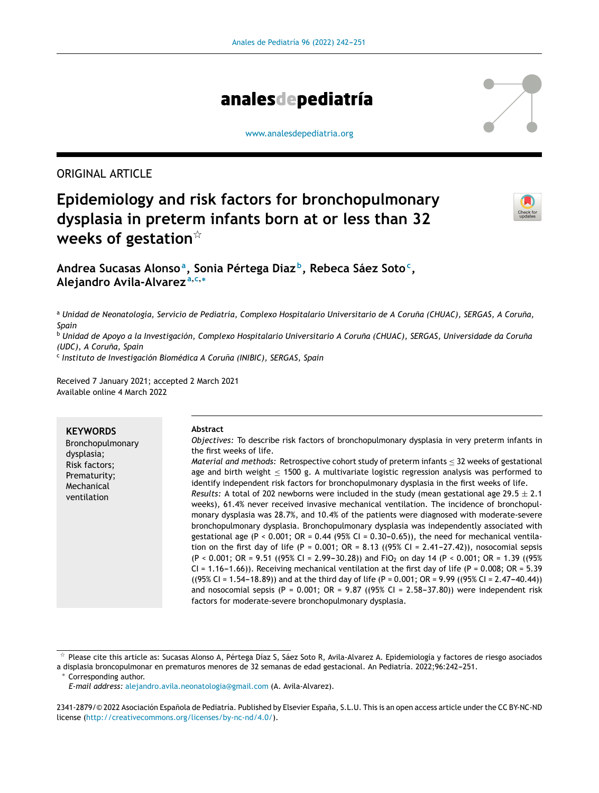

#### [www.analesdepediatria.org](http://www.analesdepediatria.org)

# ORIGINAL ARTICLE

# **Epidemiology and risk factors for bronchopulmonary dysplasia in preterm infants born at or less than 32 weeks of gestation**-



**Andrea Sucasas Alonso<sup>a</sup> , Sonia Pértega Diaz <sup>b</sup> , Rebeca Sáez Soto<sup>c</sup> , Alejandro Avila-Alvarez <sup>a</sup>**,**c**,<sup>∗</sup>

<sup>a</sup> Unidad de Neonatología, Servicio de Pediatría, Complexo Hospitalario Universitario de A Coruña (CHUAC), SERGAS, A Coruña, *Spain*

<sup>b</sup> Unidad de Apoyo a la Investigación, Complexo Hospitalario Universitario A Coruña (CHUAC), SERGAS, Universidade da Coruña *(UDC), A Coruna, ˜ Spain*

c *Instituto de Investigación Biomédica A Coruna˜ (INIBIC), SERGAS, Spain*

Received 7 January 2021; accepted 2 March 2021 Available online 4 March 2022

| <b>KEYWORDS</b><br>Bronchopulmonary<br>dysplasia;<br>Risk factors;<br>Prematurity;<br>Mechanical<br>ventilation | <b>Abstract</b><br>Objectives: To describe risk factors of bronchopulmonary dysplasia in very preterm infants in<br>the first weeks of life.<br>Material and methods: Retrospective cohort study of preterm infants < 32 weeks of gestational<br>age and birth weight $<$ 1500 g. A multivariate logistic regression analysis was performed to<br>identify independent risk factors for bronchopulmonary dysplasia in the first weeks of life.<br>Results: A total of 202 newborns were included in the study (mean gestational age 29.5 $\pm$ 2.1<br>weeks), 61.4% never received invasive mechanical ventilation. The incidence of bronchopul-<br>monary dysplasia was 28.7%, and 10.4% of the patients were diagnosed with moderate-severe<br>bronchopulmonary dysplasia. Bronchopulmonary dysplasia was independently associated with<br>gestational age (P < 0.001; OR = 0.44 (95% CI = 0.30-0.65)), the need for mechanical ventila-<br>tion on the first day of life (P = 0.001; OR = 8.13 ((95% CI = 2.41-27.42)), nosocomial sepsis<br>$(P < 0.001$ ; OR = 9.51 ((95% CI = 2.99–30.28)) and FiO <sub>2</sub> on day 14 (P < 0.001; OR = 1.39 ((95%)<br>CI = 1.16-1.66)). Receiving mechanical ventilation at the first day of life (P = 0.008; OR = 5.39 |
|-----------------------------------------------------------------------------------------------------------------|-------------------------------------------------------------------------------------------------------------------------------------------------------------------------------------------------------------------------------------------------------------------------------------------------------------------------------------------------------------------------------------------------------------------------------------------------------------------------------------------------------------------------------------------------------------------------------------------------------------------------------------------------------------------------------------------------------------------------------------------------------------------------------------------------------------------------------------------------------------------------------------------------------------------------------------------------------------------------------------------------------------------------------------------------------------------------------------------------------------------------------------------------------------------------------------------------------------------------------------------------------------------|
|                                                                                                                 | $((95\% \text{ CI} = 1.54 - 18.89))$ and at the third day of life (P = 0.001; OR = 9.99 ((95% CI = 2.47-40.44))<br>and nosocomial sepsis (P = 0.001; OR = 9.87 ((95% CI = 2.58–37.80)) were independent risk<br>factors for moderate-severe bronchopulmonary dysplasia.                                                                                                                                                                                                                                                                                                                                                                                                                                                                                                                                                                                                                                                                                                                                                                                                                                                                                                                                                                                           |

a displasia broncopulmonar en prematuros menores de 32 semanas de edad gestacional. An Pediatría. 2022;96:242-251.

<sup>∗</sup> Corresponding author.

 $^\star$  Please cite this article as: Sucasas Alonso A, Pértega Díaz S, Sáez Soto R, Avila-Alvarez A. Epidemiología y factores de riesgo asociados

*E-mail address:* [alejandro.avila.neonatologia@gmail.com](mailto:alejandro.avila.neonatologia@gmail.com) (A. Avila-Alvarez).

<sup>2341-2879/© 2022</sup> Asociación Española de Pediatría. Published by Elsevier España, S.L.U. This is an open access article under the CC BY-NC-ND license (<http://creativecommons.org/licenses/by-nc-nd/4.0/>).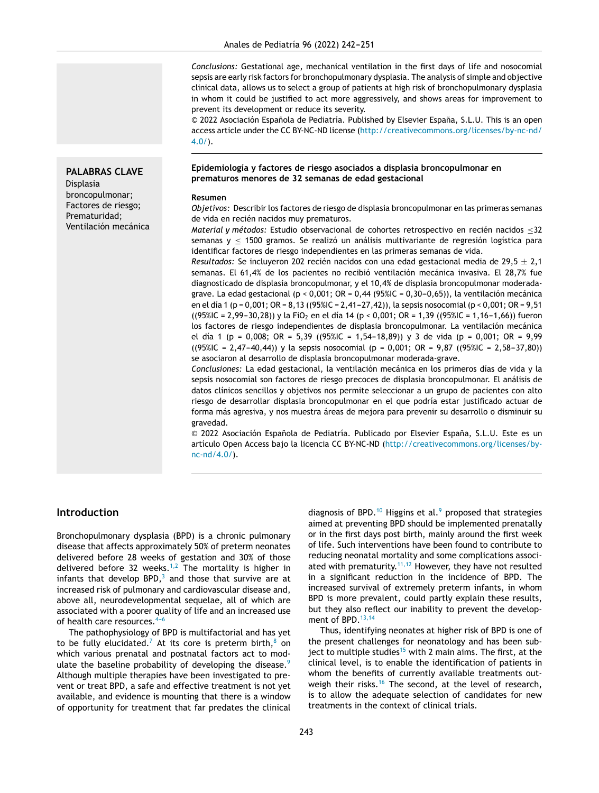*Conclusions:* Gestational age, mechanical ventilation in the first days of life and nosocomial sepsis are early risk factors for bronchopulmonary dysplasia. The analysis of simple and objective clinical data, allows us to select a group of patients at high risk of bronchopulmonary dysplasia in whom it could be justified to act more aggressively, and shows areas for improvement to prevent its development or reduce its severity.

© 2022 Asociación Española de Pediatría. Published by Elsevier España, S.L.U. This is an open access article under the CC BY-NC-ND license ([http://creativecommons.org/licenses/by-nc-nd/](http://creativecommons.org/licenses/by-nc-nd/4.0/)  $4.0/$ ).

**Epidemiología y factores de riesgo asociados a displasia broncopulmonar en prematuros menores de 32 semanas de edad gestacional**

#### **Resumen**

*Objetivos:* Describir los factores de riesgo de displasia broncopulmonar en las primeras semanas de vida en recién nacidos muy prematuros.

*Material y métodos:* Estudio observacional de cohortes retrospectivo en recién nacidos ≤32 semanas  $y < 1500$  gramos. Se realizó un análisis multivariante de regresión logística para identificar factores de riesgo independientes en las primeras semanas de vida.

*Resultados:* Se incluyeron 202 recién nacidos con una edad gestacional media de 29,5  $\pm$  2,1 semanas. El 61,4% de los pacientes no recibió ventilación mecánica invasiva. El 28,7% fue diagnosticado de displasia broncopulmonar, y el 10,4% de displasia broncopulmonar moderadagrave. La edad gestacional (p < 0,001; OR = 0,44 (95%IC = 0,30-0,65)), la ventilación mecánica en el día 1 (p = 0,001; OR = 8,13 ((95%IC = 2,41-27,42)), la sepsis nosocomial (p < 0,001; OR = 9,51  $((95\%C = 2,99-30,28))$  y la FiO<sub>2</sub> en el día 14 (p < 0,001; OR = 1,39 ((95%IC = 1,16-1,66)) fueron los factores de riesgo independientes de displasia broncopulmonar. La ventilación mecánica el día 1 (p = 0,008; OR = 5,39 ((95%IC = 1,54-18,89)) y 3 de vida (p = 0,001; OR = 9,99  $((95\%C = 2,47-40,44))$  y la sepsis nosocomial (p = 0,001; OR = 9,87 ((95%IC = 2,58-37,80)) se asociaron al desarrollo de displasia broncopulmonar moderada-grave.

*Conclusiones:* La edad gestacional, la ventilación mecánica en los primeros días de vida y la sepsis nosocomial son factores de riesgo precoces de displasia broncopulmonar. El análisis de datos clínicos sencillos y objetivos nos permite seleccionar a un grupo de pacientes con alto riesgo de desarrollar displasia broncopulmonar en el que podría estar justificado actuar de forma más agresiva, y nos muestra áreas de mejora para prevenir su desarrollo o disminuir su gravedad.

 $© 2022 Asociación Española de Pediatría. Publicado por Elsevier España, S.L.U. Este es un$ artículo Open Access bajo la licencia CC BY-NC-ND [\(http://creativecommons.org/licenses/by](http://creativecommons.org/licenses/by-nc-nd/4.0/)[nc-nd/4.0/](http://creativecommons.org/licenses/by-nc-nd/4.0/)).

### **Introduction**

**PALABRAS CLAVE**

Displasia broncopulmonar; Factores de riesgo; Prematuridad; Ventilación mecánica

Bronchopulmonary dysplasia (BPD) is a chronic pulmonary disease that affects approximately 50% of preterm neonates delivered before 28 weeks of gestation and 30% of those delivered before 32 weeks.<sup>[1,2](#page-8-0)</sup> The mortality is higher in infants that develop BPD, $3$  and those that survive are at increased risk of pulmonary and cardiovascular disease and, above all, neurodevelopmental sequelae, all of which are associated with a poorer quality of life and an increased use of health care resources.  $4-6$ 

The pathophysiology of BPD is multifactorial and has yet to be fully elucidated.<sup>[7](#page-8-0)</sup> At its core is preterm birth, $8$  on which various prenatal and postnatal factors act to modulate the baseline probability of developing the disease. $9$ Although multiple therapies have been investigated to prevent or treat BPD, a safe and effective treatment is not yet available, and evidence is mounting that there is a window of opportunity for treatment that far predates the clinical

diagnosis of BPD.<sup>[10](#page-8-0)</sup> Higgins et al.<sup>[9](#page-8-0)</sup> proposed that strategies aimed at preventing BPD should be implemented prenatally or in the first days post birth, mainly around the first week of life. Such interventions have been found to contribute to reducing neonatal mortality and some complications associ-ated with prematurity.<sup>[11,12](#page-8-0)</sup> However, they have not resulted in a significant reduction in the incidence of BPD. The increased survival of extremely preterm infants, in whom BPD is more prevalent, could partly explain these results, but they also reflect our inability to prevent the develop-ment of BPD.<sup>[13,14](#page-8-0)</sup>

Thus, identifying neonates at higher risk of BPD is one of the present challenges for neonatology and has been sub-ject to multiple studies<sup>[15](#page-8-0)</sup> with 2 main aims. The first, at the clinical level, is to enable the identification of patients in whom the benefits of currently available treatments out-weigh their risks.<sup>[16](#page-8-0)</sup> The second, at the level of research, is to allow the adequate selection of candidates for new treatments in the context of clinical trials.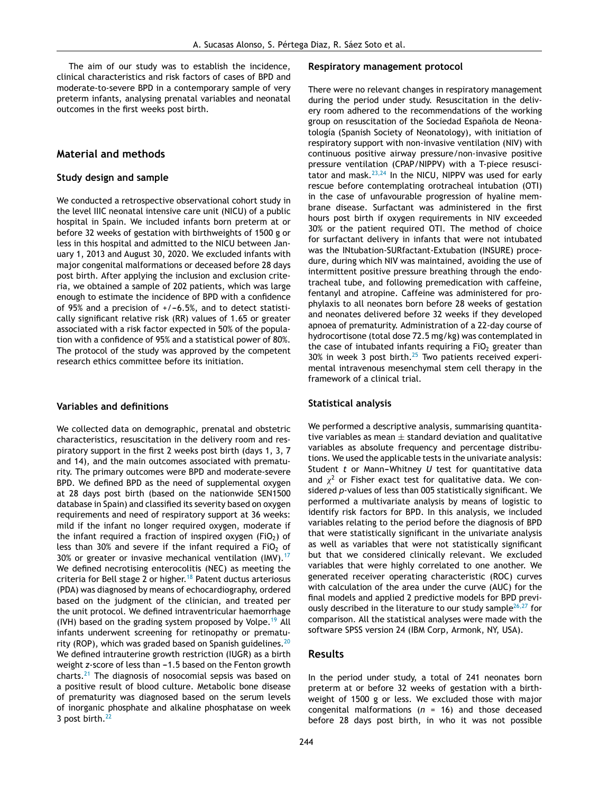The aim of our study was to establish the incidence, clinical characteristics and risk factors of cases of BPD and moderate-to-severe BPD in a contemporary sample of very preterm infants, analysing prenatal variables and neonatal outcomes in the first weeks post birth.

#### **Material and methods**

#### **Study design and sample**

We conducted a retrospective observational cohort study in the level IIIC neonatal intensive care unit (NICU) of a public hospital in Spain. We included infants born preterm at or before 32 weeks of gestation with birthweights of 1500 g or less in this hospital and admitted to the NICU between January 1, 2013 and August 30, 2020. We excluded infants with major congenital malformations or deceased before 28 days post birth. After applying the inclusion and exclusion criteria, we obtained a sample of 202 patients, which was large enough to estimate the incidence of BPD with a confidence of 95% and a precision of  $+/-6.5%$ , and to detect statistically significant relative risk (RR) values of 1.65 or greater associated with a risk factor expected in 50% of the population with a confidence of 95% and a statistical power of 80%. The protocol of the study was approved by the competent research ethics committee before its initiation.

#### **Variables and definitions**

We collected data on demographic, prenatal and obstetric characteristics, resuscitation in the delivery room and respiratory support in the first 2 weeks post birth (days 1, 3, 7 and 14), and the main outcomes associated with prematurity. The primary outcomes were BPD and moderate-severe BPD. We defined BPD as the need of supplemental oxygen at 28 days post birth (based on the nationwide SEN1500 database in Spain) and classified its severity based on oxygen requirements and need of respiratory support at 36 weeks: mild if the infant no longer required oxygen, moderate if the infant required a fraction of inspired oxygen (FiO<sub>2</sub>) of less than 30% and severe if the infant required a FiO<sub>2</sub> of 30% or greater or invasive mechanical ventilation (IMV). $17$ We defined necrotising enterocolitis (NEC) as meeting the criteria for Bell stage 2 or higher.<sup>[18](#page-8-0)</sup> Patent ductus arteriosus (PDA) was diagnosed by means of echocardiography, ordered based on the judgment of the clinician, and treated per the unit protocol. We defined intraventricular haemorrhage (IVH) based on the grading system proposed by Volpe.<sup>[19](#page-8-0)</sup> All infants underwent screening for retinopathy or prematurity (ROP), which was graded based on Spanish guidelines. $20$ We defined intrauterine growth restriction (IUGR) as a birth weight *z*-score of less than -1.5 based on the Fenton growth charts.[21](#page-8-0) The diagnosis of nosocomial sepsis was based on a positive result of blood culture. Metabolic bone disease of prematurity was diagnosed based on the serum levels of inorganic phosphate and alkaline phosphatase on week 3 post birth.<sup>[22](#page-8-0)</sup>

#### **Respiratory management protocol**

There were no relevant changes in respiratory management during the period under study. Resuscitation in the delivery room adhered to the recommendations of the working group on resuscitation of the Sociedad Española de Neonatología (Spanish Society of Neonatology), with initiation of respiratory support with non-invasive ventilation (NIV) with continuous positive airway pressure/non-invasive positive pressure ventilation (CPAP/NIPPV) with a T-piece resuscitator and mask.[23,24](#page-8-0) In the NICU, NIPPV was used for early rescue before contemplating orotracheal intubation (OTI) in the case of unfavourable progression of hyaline membrane disease. Surfactant was administered in the first hours post birth if oxygen requirements in NIV exceeded 30% or the patient required OTI. The method of choice for surfactant delivery in infants that were not intubated was the INtubation-SURfactant-Extubation (INSURE) procedure, during which NIV was maintained, avoiding the use of intermittent positive pressure breathing through the endotracheal tube, and following premedication with caffeine, fentanyl and atropine. Caffeine was administered for prophylaxis to all neonates born before 28 weeks of gestation and neonates delivered before 32 weeks if they developed apnoea of prematurity. Administration of a 22-day course of hydrocortisone (total dose 72.5 mg/kg) was contemplated in the case of intubated infants requiring a  $FiO<sub>2</sub>$  greater than  $30\%$  in week 3 post birth.<sup>[25](#page-9-0)</sup> Two patients received experimental intravenous mesenchymal stem cell therapy in the framework of a clinical trial.

#### **Statistical analysis**

We performed a descriptive analysis, summarising quantitative variables as mean  $\pm$  standard deviation and qualitative variables as absolute frequency and percentage distributions. We used the applicable tests in the univariate analysis: Student *t* or Mann-Whitney *U* test for quantitative data and  $\chi^2$  or Fisher exact test for qualitative data. We considered *p*-values of less than 005 statistically significant. We performed a multivariate analysis by means of logistic to identify risk factors for BPD. In this analysis, we included variables relating to the period before the diagnosis of BPD that were statistically significant in the univariate analysis as well as variables that were not statistically significant but that we considered clinically relevant. We excluded variables that were highly correlated to one another. We generated receiver operating characteristic (ROC) curves with calculation of the area under the curve (AUC) for the final models and applied 2 predictive models for BPD previ-ously described in the literature to our study sample<sup>[26,27](#page-9-0)</sup> for comparison. All the statistical analyses were made with the software SPSS version 24 (IBM Corp, Armonk, NY, USA).

#### **Results**

In the period under study, a total of 241 neonates born preterm at or before 32 weeks of gestation with a birthweight of 1500 g or less. We excluded those with major congenital malformations (*n* = 16) and those deceased before 28 days post birth, in who it was not possible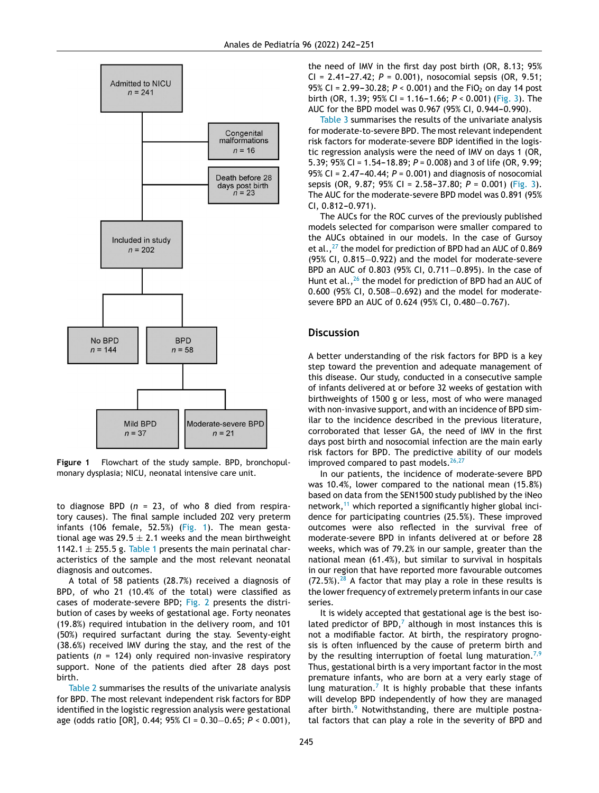

**Figure 1** Flowchart of the study sample. BPD, bronchopulmonary dysplasia; NICU, neonatal intensive care unit.

to diagnose BPD (*n* = 23, of who 8 died from respiratory causes). The final sample included 202 very preterm infants (106 female, 52.5%) (Fig. 1). The mean gestational age was 29.5  $\pm$  2.1 weeks and the mean birthweight 1142.1  $\pm$  255.5 g. [Table](#page-4-0) 1 presents the main perinatal characteristics of the sample and the most relevant neonatal diagnosis and outcomes.

A total of 58 patients (28.7%) received a diagnosis of BPD, of who 21 (10.4% of the total) were classified as cases of moderate-severe BPD; [Fig.](#page-5-0) 2 presents the distribution of cases by weeks of gestational age. Forty neonates (19.8%) required intubation in the delivery room, and 101 (50%) required surfactant during the stay. Seventy-eight (38.6%) received IMV during the stay, and the rest of the patients (*n* = 124) only required non-invasive respiratory support. None of the patients died after 28 days post birth.

[Table](#page-6-0) 2 summarises the results of the univariate analysis for BPD. The most relevant independent risk factors for BDP identified in the logistic regression analysis were gestational age (odds ratio [OR], 0.44; 95% CI = 0.30−0.65; *P* < 0.001),

the need of IMV in the first day post birth (OR, 8.13; 95%  $CI = 2.41 - 27.42$ ;  $P = 0.001$ ), nosocomial sepsis (OR, 9.51; 95% CI = 2.99-30.28;  $P < 0.001$ ) and the FiO<sub>2</sub> on day 14 post birth (OR, 1.39; 95% CI = 1.16-1.66;  $P < 0.001$ ) [\(Fig.](#page-8-0) 3). The AUC for the BPD model was 0.967 (95% CI, 0.944-0.990).

[Table](#page-7-0) 3 summarises the results of the univariate analysis for moderate-to-severe BPD. The most relevant independent risk factors for moderate-severe BDP identified in the logistic regression analysis were the need of IMV on days 1 (OR, 5.39; 95% CI = 1.54-18.89;  $P = 0.008$ ) and 3 of life (OR, 9.99; 95% CI =  $2.47 - 40.44$ ;  $P = 0.001$ ) and diagnosis of nosocomial sepsis (OR, 9.87; 95% CI = 2.58-37.80;  $P = 0.001$ ) [\(Fig.](#page-8-0) 3). The AUC for the moderate-severe BPD model was 0.891 (95%  $CI, 0.812 - 0.971$ .

The AUCs for the ROC curves of the previously published models selected for comparison were smaller compared to the AUCs obtained in our models. In the case of Gursoy et al.,  $^{27}$  $^{27}$  $^{27}$  the model for prediction of BPD had an AUC of 0.869 (95% CI, 0.815−0.922) and the model for moderate-severe BPD an AUC of 0.803 (95% CI, 0.711−0.895). In the case of Hunt et al.,<sup>[26](#page-9-0)</sup> the model for prediction of BPD had an AUC of 0.600 (95% CI, 0.508−0.692) and the model for moderatesevere BPD an AUC of 0.624 (95% CI, 0.480–0.767).

### **Discussion**

A better understanding of the risk factors for BPD is a key step toward the prevention and adequate management of this disease. Our study, conducted in a consecutive sample of infants delivered at or before 32 weeks of gestation with birthweights of 1500 g or less, most of who were managed with non-invasive support, and with an incidence of BPD similar to the incidence described in the previous literature, corroborated that lesser GA, the need of IMV in the first days post birth and nosocomial infection are the main early risk factors for BPD. The predictive ability of our models improved compared to past models.<sup>[26,27](#page-9-0)</sup>

In our patients, the incidence of moderate-severe BPD was 10.4%, lower compared to the national mean (15.8%) based on data from the SEN1500 study published by the iNeo network,<sup>[11](#page-8-0)</sup> which reported a significantly higher global incidence for participating countries (25.5%). These improved outcomes were also reflected in the survival free of moderate-severe BPD in infants delivered at or before 28 weeks, which was of 79.2% in our sample, greater than the national mean (61.4%), but similar to survival in hospitals in our region that have reported more favourable outcomes  $(72.5\%)$ .<sup>[28](#page-9-0)</sup> A factor that may play a role in these results is the lower frequency of extremely preterm infants in our case series.

It is widely accepted that gestational age is the best isolated predictor of BPD, $<sup>7</sup>$  $<sup>7</sup>$  $<sup>7</sup>$  although in most instances this is</sup> not a modifiable factor. At birth, the respiratory prognosis is often influenced by the cause of preterm birth and by the resulting interruption of foetal lung maturation.<sup>[7,9](#page-8-0)</sup> Thus, gestational birth is a very important factor in the most premature infants, who are born at a very early stage of lung maturation.<sup>[7](#page-8-0)</sup> It is highly probable that these infants will develop BPD independently of how they are managed after birth.<sup>[9](#page-8-0)</sup> Notwithstanding, there are multiple postnatal factors that can play a role in the severity of BPD and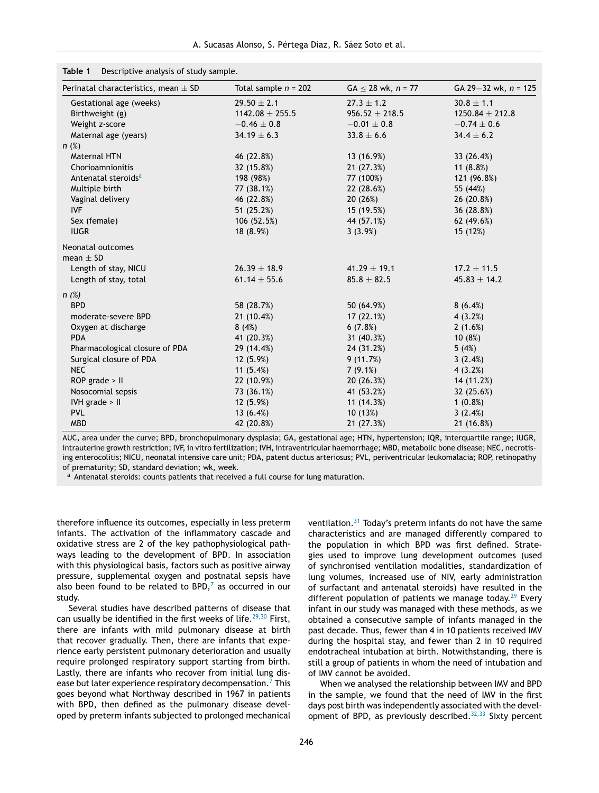<span id="page-4-0"></span>

| Table 1 | Descriptive analysis of study sample. |  |  |
|---------|---------------------------------------|--|--|
|         |                                       |  |  |

| Perinatal characteristics, mean $\pm$ SD | Total sample $n = 202$ | $GA < 28$ wk, $n = 77$ | GA 29-32 wk, $n = 125$ |
|------------------------------------------|------------------------|------------------------|------------------------|
| Gestational age (weeks)                  | $29.50 \pm 2.1$        | $27.3 \pm 1.2$         | $30.8 \pm 1.1$         |
| Birthweight (g)                          | $1142.08 \pm 255.5$    | $956.52 \pm 218.5$     | $1250.84 \pm 212.8$    |
| Weight z-score                           | $-0.46 \pm 0.8$        | $-0.01 \pm 0.8$        | $-0.74 \pm 0.6$        |
| Maternal age (years)                     | $34.19 \pm 6.3$        | $33.8 \pm 6.6$         | $34.4 \pm 6.2$         |
| $n$ (%)                                  |                        |                        |                        |
| <b>Maternal HTN</b>                      | 46 (22.8%)             | 13 (16.9%)             | 33 (26.4%)             |
| Chorioamnionitis                         | 32 (15.8%)             | 21 (27.3%)             | 11 $(8.8%)$            |
| Antenatal steroids <sup>a</sup>          | 198 (98%)              | 77 (100%)              | 121 (96.8%)            |
| Multiple birth                           | 77 (38.1%)             | 22 (28.6%)             | 55 (44%)               |
| Vaginal delivery                         | 46 (22.8%)             | 20 (26%)               | 26 (20.8%)             |
| <b>IVF</b>                               | 51 (25.2%)             | 15 (19.5%)             | 36 (28.8%)             |
| Sex (female)                             | 106 (52.5%)            | 44 (57.1%)             | 62 (49.6%)             |
| <b>IUGR</b>                              | 18 (8.9%)              | 3(3.9%)                | 15 (12%)               |
| Neonatal outcomes                        |                        |                        |                        |
| mean $\pm$ SD                            |                        |                        |                        |
| Length of stay, NICU                     | $26.39 \pm 18.9$       | $41.29 \pm 19.1$       | $17.2 \pm 11.5$        |
| Length of stay, total                    | $61.14 \pm 55.6$       | $85.8 \pm 82.5$        | $45.83 \pm 14.2$       |
| n(%)                                     |                        |                        |                        |
| <b>BPD</b>                               | 58 (28.7%)             | 50 (64.9%)             | 8(6.4%)                |
| moderate-severe BPD                      | 21 (10.4%)             | 17(22.1%)              | 4(3.2%)                |
| Oxygen at discharge                      | 8(4%)                  | 6(7.8%)                | 2(1.6%)                |
| <b>PDA</b>                               | 41 (20.3%)             | 31 (40.3%)             | 10(8%)                 |
| Pharmacological closure of PDA           | 29 (14.4%)             | 24 (31.2%)             | 5(4%)                  |
| Surgical closure of PDA                  | 12(5.9%)               | 9(11.7%)               | 3(2.4%)                |
| NEC                                      | 11 $(5.4%)$            | $7(9.1\%)$             | 4(3.2%)                |
| $ROP$ grade $>$ II                       | 22 (10.9%)             | 20(26.3%)              | 14 (11.2%)             |
| Nosocomial sepsis                        | 73 (36.1%)             | 41 (53.2%)             | 32 (25.6%)             |
| IVH grade > II                           | 12 (5.9%)              | 11(14.3%)              | $1(0.8\%)$             |
| <b>PVL</b>                               | 13 $(6.4%)$            | 10 (13%)               | 3(2.4%)                |
| <b>MBD</b>                               | 42 (20.8%)             | 21 (27.3%)             | 21 (16.8%)             |

AUC, area under the curve; BPD, bronchopulmonary dysplasia; GA, gestational age; HTN, hypertension; IQR, interquartile range; IUGR, intrauterine growth restriction; IVF, in vitro fertilization; IVH, intraventricular haemorrhage; MBD, metabolic bone disease; NEC, necrotising enterocolitis; NICU, neonatal intensive care unit; PDA, patent ductus arteriosus; PVL, periventricular leukomalacia; ROP, retinopathy of prematurity; SD, standard deviation; wk, week.

<sup>a</sup> Antenatal steroids: counts patients that received a full course for lung maturation.

therefore influence its outcomes, especially in less preterm infants. The activation of the inflammatory cascade and oxidative stress are 2 of the key pathophysiological pathways leading to the development of BPD. In association with this physiological basis, factors such as positive airway pressure, supplemental oxygen and postnatal sepsis have also been found to be related to BPD, $<sup>7</sup>$  $<sup>7</sup>$  $<sup>7</sup>$  as occurred in our</sup> study.

Several studies have described patterns of disease that can usually be identified in the first weeks of life.<sup>[29,30](#page-9-0)</sup> First, there are infants with mild pulmonary disease at birth that recover gradually. Then, there are infants that experience early persistent pulmonary deterioration and usually require prolonged respiratory support starting from birth. Lastly, there are infants who recover from initial lung dis-ease but later experience respiratory decompensation.<sup>7</sup> [T](#page-8-0)his goes beyond what Northway described in 1967 in patients with BPD, then defined as the pulmonary disease developed by preterm infants subjected to prolonged mechanical ventilation.[31](#page-9-0) Today's preterm infants do not have the same characteristics and are managed differently compared to the population in which BPD was first defined. Strategies used to improve lung development outcomes (used of synchronised ventilation modalities, standardization of lung volumes, increased use of NIV, early administration of surfactant and antenatal steroids) have resulted in the different population of patients we manage today.<sup>[29](#page-9-0)</sup> Every infant in our study was managed with these methods, as we obtained a consecutive sample of infants managed in the past decade. Thus, fewer than 4 in 10 patients received IMV during the hospital stay, and fewer than 2 in 10 required endotracheal intubation at birth. Notwithstanding, there is still a group of patients in whom the need of intubation and of IMV cannot be avoided.

When we analysed the relationship between IMV and BPD in the sample, we found that the need of IMV in the first days post birth was independently associated with the development of BPD, as previously described. $32,33$  Sixty percent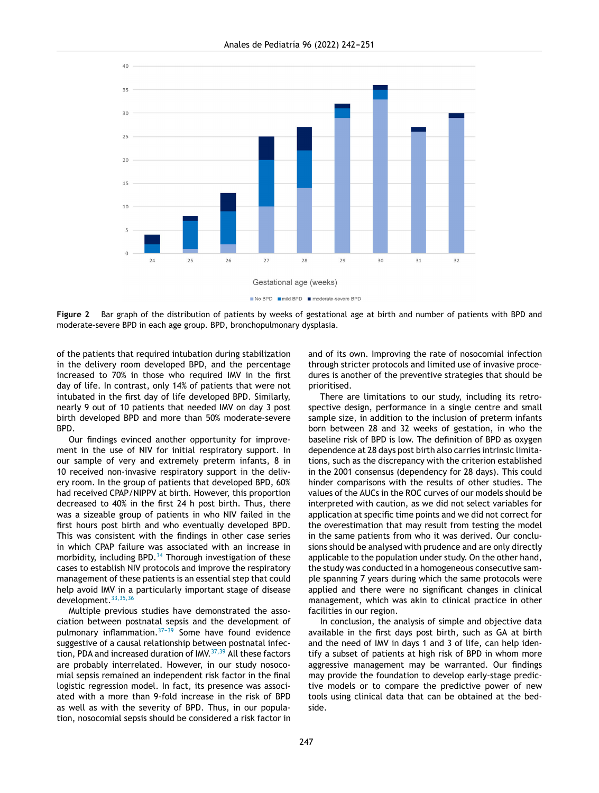<span id="page-5-0"></span>

No BPD mild BPD moderate-severe BPD

**Figure 2** Bar graph of the distribution of patients by weeks of gestational age at birth and number of patients with BPD and moderate-severe BPD in each age group. BPD, bronchopulmonary dysplasia.

of the patients that required intubation during stabilization in the delivery room developed BPD, and the percentage increased to 70% in those who required IMV in the first day of life. In contrast, only 14% of patients that were not intubated in the first day of life developed BPD. Similarly, nearly 9 out of 10 patients that needed IMV on day 3 post birth developed BPD and more than 50% moderate-severe BPD.

Our findings evinced another opportunity for improvement in the use of NIV for initial respiratory support. In our sample of very and extremely preterm infants, 8 in 10 received non-invasive respiratory support in the delivery room. In the group of patients that developed BPD, 60% had received CPAP/NIPPV at birth. However, this proportion decreased to 40% in the first 24 h post birth. Thus, there was a sizeable group of patients in who NIV failed in the first hours post birth and who eventually developed BPD. This was consistent with the findings in other case series in which CPAP failure was associated with an increase in morbidity, including BPD.<sup>[34](#page-9-0)</sup> Thorough investigation of these cases to establish NIV protocols and improve the respiratory management of these patients is an essential step that could help avoid IMV in a particularly important stage of disease development.<sup>[33,35,36](#page-9-0)</sup>

Multiple previous studies have demonstrated the association between postnatal sepsis and the development of pulmonary inflammation. $37-39$  Some have found evidence suggestive of a causal relationship between postnatal infec-tion, PDA and increased duration of IMV. [37,39](#page-9-0) All these factors are probably interrelated. However, in our study nosocomial sepsis remained an independent risk factor in the final logistic regression model. In fact, its presence was associated with a more than 9-fold increase in the risk of BPD as well as with the severity of BPD. Thus, in our population, nosocomial sepsis should be considered a risk factor in

and of its own. Improving the rate of nosocomial infection through stricter protocols and limited use of invasive procedures is another of the preventive strategies that should be prioritised.

There are limitations to our study, including its retrospective design, performance in a single centre and small sample size, in addition to the inclusion of preterm infants born between 28 and 32 weeks of gestation, in who the baseline risk of BPD is low. The definition of BPD as oxygen dependence at 28 days post birth also carries intrinsic limitations, such as the discrepancy with the criterion established in the 2001 consensus (dependency for 28 days). This could hinder comparisons with the results of other studies. The values of the AUCs in the ROC curves of our models should be interpreted with caution, as we did not select variables for application at specific time points and we did not correct for the overestimation that may result from testing the model in the same patients from who it was derived. Our conclusions should be analysed with prudence and are only directly applicable to the population under study. On the other hand, the study was conducted in a homogeneous consecutive sample spanning 7 years during which the same protocols were applied and there were no significant changes in clinical management, which was akin to clinical practice in other facilities in our region.

In conclusion, the analysis of simple and objective data available in the first days post birth, such as GA at birth and the need of IMV in days 1 and 3 of life, can help identify a subset of patients at high risk of BPD in whom more aggressive management may be warranted. Our findings may provide the foundation to develop early-stage predictive models or to compare the predictive power of new tools using clinical data that can be obtained at the bedside.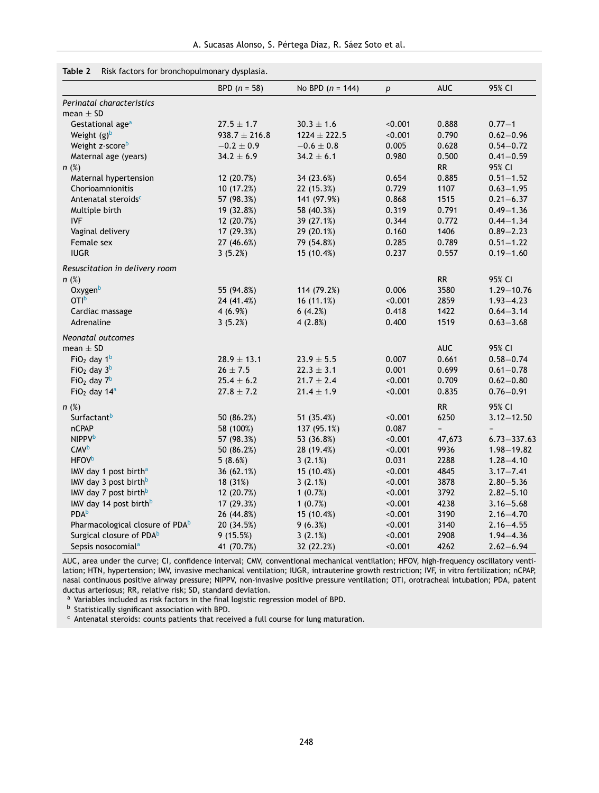## <span id="page-6-0"></span>**Table 2** Risk factors for bronchopulmonary dysplasia.

|                                             | BPD $(n = 58)$    | No BPD $(n = 144)$ | $\boldsymbol{p}$ | <b>AUC</b>               | 95% CI          |
|---------------------------------------------|-------------------|--------------------|------------------|--------------------------|-----------------|
| Perinatal characteristics                   |                   |                    |                  |                          |                 |
| mean $\pm$ SD                               |                   |                    |                  |                          |                 |
| Gestational age <sup>a</sup>                | $27.5 \pm 1.7$    | $30.3 \pm 1.6$     | < 0.001          | 0.888                    | $0.77 - 1$      |
| Weight $(g)^b$                              | $938.7 \pm 216.8$ | $1224 \pm 222.5$   | < 0.001          | 0.790                    | $0.62 - 0.96$   |
| Weight z-scoreb                             | $-0.2 \pm 0.9$    | $-0.6 \pm 0.8$     | 0.005            | 0.628                    | $0.54 - 0.72$   |
| Maternal age (years)                        | $34.2 \pm 6.9$    | $34.2 \pm 6.1$     | 0.980            | 0.500                    | $0.41 - 0.59$   |
| n(%)                                        |                   |                    |                  | RR                       | 95% CI          |
| Maternal hypertension                       | 12 (20.7%)        | 34 (23.6%)         | 0.654            | 0.885                    | $0.51 - 1.52$   |
| Chorioamnionitis                            | 10 (17.2%)        | 22 (15.3%)         | 0.729            | 1107                     | $0.63 - 1.95$   |
| Antenatal steroids <sup>c</sup>             | 57 (98.3%)        | 141 (97.9%)        | 0.868            | 1515                     | $0.21 - 6.37$   |
| Multiple birth                              | 19 (32.8%)        | 58 (40.3%)         | 0.319            | 0.791                    | $0.49 - 1.36$   |
| <b>IVF</b>                                  | 12 (20.7%)        | 39 (27.1%)         | 0.344            | 0.772                    | $0.44 - 1.34$   |
| Vaginal delivery                            | 17 (29.3%)        | 29 (20.1%)         | 0.160            | 1406                     | $0.89 - 2.23$   |
| Female sex                                  | 27 (46.6%)        | 79 (54.8%)         | 0.285            | 0.789                    | $0.51 - 1.22$   |
| <b>IUGR</b>                                 | 3(5.2%)           | 15 (10.4%)         | 0.237            | 0.557                    | $0.19 - 1.60$   |
| Resuscitation in delivery room              |                   |                    |                  |                          |                 |
| n(%)                                        |                   |                    |                  | <b>RR</b>                | 95% CI          |
| Oxygenb                                     | 55 (94.8%)        | 114 (79.2%)        | 0.006            | 3580                     | $1.29 - 10.76$  |
| OTI <sup>b</sup>                            | 24 (41.4%)        | 16(11.1%)          | < 0.001          | 2859                     | $1.93 - 4.23$   |
| Cardiac massage                             | 4(6.9%)           | 6(4.2%)            | 0.418            | 1422                     | $0.64 - 3.14$   |
| Adrenaline                                  | 3(5.2%)           | 4(2.8%)            | 0.400            | 1519                     | $0.63 - 3.68$   |
| Neonatal outcomes                           |                   |                    |                  |                          |                 |
| mean $\pm$ SD                               |                   |                    |                  | <b>AUC</b>               | 95% CI          |
| $FiO2$ day 1 <sup>b</sup>                   | $28.9 \pm 13.1$   | $23.9 \pm 5.5$     | 0.007            | 0.661                    | $0.58 - 0.74$   |
| $FiO2$ day $3b$                             | $26\pm7.5$        | $22.3 \pm 3.1$     | 0.001            | 0.699                    | $0.61 - 0.78$   |
| $FiO2$ day $7b$                             | $25.4 \pm 6.2$    | $21.7 \pm 2.4$     | < 0.001          | 0.709                    | $0.62 - 0.80$   |
| $FiO2$ day 14 <sup>a</sup>                  | $27.8 \pm 7.2$    | $21.4 \pm 1.9$     | < 0.001          | 0.835                    | $0.76 - 0.91$   |
| $n$ (%)                                     |                   |                    |                  | <b>RR</b>                | 95% CI          |
| Surfactant <sup>b</sup>                     | 50 (86.2%)        | 51 (35.4%)         | < 0.001          | 6250                     | $3.12 - 12.50$  |
| <b>nCPAP</b>                                | 58 (100%)         | 137 (95.1%)        | 0.087            | $\overline{\phantom{0}}$ |                 |
| <b>NIPPV</b> b                              | 57 (98.3%)        | 53 (36.8%)         | < 0.001          | 47,673                   | $6.73 - 337.63$ |
| <b>CMV</b> b                                | 50 (86.2%)        | 28 (19.4%)         | < 0.001          | 9936                     | $1.98 - 19.82$  |
| <b>HFOVb</b>                                | 5(8.6%)           | 3(2.1%)            | 0.031            | 2288                     | $1.28 - 4.10$   |
| IMV day 1 post birth <sup>a</sup>           | 36 (62.1%)        | 15 (10.4%)         | < 0.001          | 4845                     | $3.17 - 7.41$   |
| IMV day 3 post birth <sup>b</sup>           | 18 (31%)          | 3(2.1%)            | < 0.001          | 3878                     | $2.80 - 5.36$   |
| IMV day 7 post birth <sup>b</sup>           | 12 (20.7%)        | 1 $(0.7%)$         | < 0.001          | 3792                     | $2.82 - 5.10$   |
| IMV day 14 post birth <sup>b</sup>          | 17 (29.3%)        | 1(0.7%)            | < 0.001          | 4238                     | $3.16 - 5.68$   |
| <b>PDA</b> b                                | 26 (44.8%)        | 15 (10.4%)         | < 0.001          | 3190                     | $2.16 - 4.70$   |
| Pharmacological closure of PDA <sup>b</sup> | 20 (34.5%)        | 9(6.3%)            | < 0.001          | 3140                     | $2.16 - 4.55$   |
| Surgical closure of PDA <sup>b</sup>        | 9(15.5%)          | 3(2.1%)            | < 0.001          | 2908                     | $1.94 - 4.36$   |
| Sepsis nosocomial <sup>a</sup>              | 41 (70.7%)        | 32 (22.2%)         | < 0.001          | 4262                     | $2.62 - 6.94$   |

AUC, area under the curve; CI, confidence interval; CMV, conventional mechanical ventilation; HFOV, high-frequency oscillatory ventilation; HTN, hypertension; IMV, invasive mechanical ventilation; IUGR, intrauterine growth restriction; IVF, in vitro fertilization; nCPAP, nasal continuous positive airway pressure; NIPPV, non-invasive positive pressure ventilation; OTI, orotracheal intubation; PDA, patent ductus arteriosus; RR, relative risk; SD, standard deviation.

<sup>a</sup> Variables included as risk factors in the final logistic regression model of BPD.

**b** Statistically significant association with BPD.

<sup>c</sup> Antenatal steroids: counts patients that received a full course for lung maturation.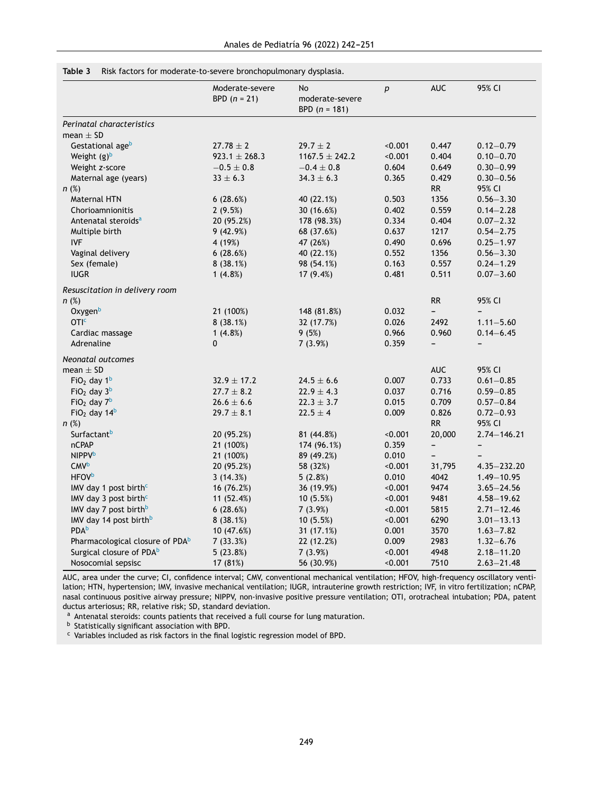#### <span id="page-7-0"></span>**Table 3** Risk factors for moderate-to-severe bronchopulmonary dysplasia.

|                                             | Moderate-severe<br>BPD $(n = 21)$ | No<br>moderate-severe<br>BPD $(n = 181)$ | p       | <b>AUC</b>               | 95% CI          |
|---------------------------------------------|-----------------------------------|------------------------------------------|---------|--------------------------|-----------------|
| Perinatal characteristics                   |                                   |                                          |         |                          |                 |
| mean $\pm$ SD                               |                                   |                                          |         |                          |                 |
| Gestational ageb                            | $27.78 \pm 2$                     | $29.7 \pm 2$                             | < 0.001 | 0.447                    | $0.12 - 0.79$   |
| Weight $(g)^b$                              | $923.1 \pm 268.3$                 | $1167.5 \pm 242.2$                       | < 0.001 | 0.404                    | $0.10 - 0.70$   |
| Weight z-score                              | $-0.5 \pm 0.8$                    | $-0.4 \pm 0.8$                           | 0.604   | 0.649                    | $0.30 - 0.99$   |
| Maternal age (years)                        | $33 \pm 6.3$                      | $34.3 \pm 6.3$                           | 0.365   | 0.429                    | $0.30 - 0.56$   |
| $n$ (%)                                     |                                   |                                          |         | <b>RR</b>                | 95% CI          |
| Maternal HTN                                | 6(28.6%)                          | 40 (22.1%)                               | 0.503   | 1356                     | $0.56 - 3.30$   |
| Chorioamnionitis                            | 2(9.5%)                           | 30 (16.6%)                               | 0.402   | 0.559                    | $0.14 - 2.28$   |
| Antenatal steroids <sup>a</sup>             | 20 (95.2%)                        | 178 (98.3%)                              | 0.334   | 0.404                    | $0.07 - 2.32$   |
| Multiple birth                              | 9(42.9%)                          | 68 (37.6%)                               | 0.637   | 1217                     | $0.54 - 2.75$   |
| <b>IVF</b>                                  | 4 (19%)                           | 47 (26%)                                 | 0.490   | 0.696                    | $0.25 - 1.97$   |
| Vaginal delivery                            | 6(28.6%)                          | 40 (22.1%)                               | 0.552   | 1356                     | $0.56 - 3.30$   |
| Sex (female)                                | 8(38.1%)                          | 98 (54.1%)                               | 0.163   | 0.557                    | $0.24 - 1.29$   |
| <b>IUGR</b>                                 | 1(4.8%)                           | 17(9.4%)                                 | 0.481   | 0.511                    | $0.07 - 3.60$   |
| Resuscitation in delivery room              |                                   |                                          |         |                          |                 |
| $n$ (%)                                     |                                   |                                          |         | <b>RR</b>                | 95% CI          |
| Oxygenb                                     | 21 (100%)                         | 148 (81.8%)                              | 0.032   | -                        |                 |
| OTI <sup>c</sup>                            | 8(38.1%)                          | 32 (17.7%)                               | 0.026   | 2492                     | $1.11 - 5.60$   |
| Cardiac massage                             | 1(4.8%)                           | 9(5%)                                    | 0.966   | 0.960                    | $0.14 - 6.45$   |
| Adrenaline                                  | $\mathbf{0}$                      | 7(3.9%)                                  | 0.359   | -                        | -               |
| Neonatal outcomes                           |                                   |                                          |         |                          |                 |
| mean $\pm$ SD                               |                                   |                                          |         | <b>AUC</b>               | 95% CI          |
| $FiO2$ day $1b$                             | $32.9 \pm 17.2$                   | $24.5 \pm 6.6$                           | 0.007   | 0.733                    | $0.61 - 0.85$   |
| $FiO2$ day $3b$                             | $27.7 \pm 8.2$                    | $22.9 \pm 4.3$                           | 0.037   | 0.716                    | $0.59 - 0.85$   |
| $FiO2$ day $7b$                             | $26.6 \pm 6.6$                    | $22.3 \pm 3.7$                           | 0.015   | 0.709                    | $0.57 - 0.84$   |
| $FiO2$ day 14 <sup>b</sup>                  | $29.7 \pm 8.1$                    | $22.5 \pm 4$                             | 0.009   | 0.826                    | $0.72 - 0.93$   |
| $n$ (%)                                     |                                   |                                          |         | <b>RR</b>                | 95% CI          |
| Surfactant <sup>b</sup>                     | 20 (95.2%)                        | 81 (44.8%)                               | < 0.001 | 20,000                   | $2.74 - 146.21$ |
| <b>nCPAP</b>                                | 21 (100%)                         | 174 (96.1%)                              | 0.359   | -                        |                 |
| <b>NIPPV</b> b                              | 21 (100%)                         | 89 (49.2%)                               | 0.010   | $\overline{\phantom{0}}$ |                 |
| <b>CMV<sup>b</sup></b>                      | 20 (95.2%)                        | 58 (32%)                                 | < 0.001 | 31,795                   | $4.35 - 232.20$ |
| <b>HFOV</b> <sup>b</sup>                    | 3(14.3%)                          | 5(2.8%)                                  | 0.010   | 4042                     | $1.49 - 10.95$  |
| IMV day 1 post birth <sup>c</sup>           | 16 (76.2%)                        | 36 (19.9%)                               | < 0.001 | 9474                     | $3.65 - 24.56$  |
| IMV day 3 post birth <sup>c</sup>           | 11 (52.4%)                        | 10(5.5%)                                 | < 0.001 | 9481                     | $4.58 - 19.62$  |
| IMV day 7 post birth <sup>b</sup>           | 6(28.6%)                          | 7(3.9%)                                  | < 0.001 | 5815                     | $2.71 - 12.46$  |
| IMV day 14 post birth <sup>b</sup>          | 8(38.1%)                          | 10(5.5%)                                 | < 0.001 | 6290                     | $3.01 - 13.13$  |
| <b>PDA</b> b                                | 10 (47.6%)                        | 31 (17.1%)                               | 0.001   | 3570                     | $1.63 - 7.82$   |
| Pharmacological closure of PDA <sup>b</sup> | 7(33.3%)                          | 22 (12.2%)                               | 0.009   | 2983                     | $1.32 - 6.76$   |
| Surgical closure of PDA <sup>b</sup>        | 5(23.8%)                          | 7(3.9%)                                  | < 0.001 | 4948                     | $2.18 - 11.20$  |
| Nosocomial sepsisc                          | 17 (81%)                          | 56 (30.9%)                               | < 0.001 | 7510                     | $2.63 - 21.48$  |

AUC, area under the curve; CI, confidence interval; CMV, conventional mechanical ventilation; HFOV, high-frequency oscillatory ventilation; HTN, hypertension; IMV, invasive mechanical ventilation; IUGR, intrauterine growth restriction; IVF, in vitro fertilization; nCPAP, nasal continuous positive airway pressure; NIPPV, non-invasive positive pressure ventilation; OTI, orotracheal intubation; PDA, patent ductus arteriosus; RR, relative risk; SD, standard deviation.

a Antenatal steroids: counts patients that received a full course for lung maturation.

**b** Statistically significant association with BPD.

<sup>c</sup> Variables included as risk factors in the final logistic regression model of BPD.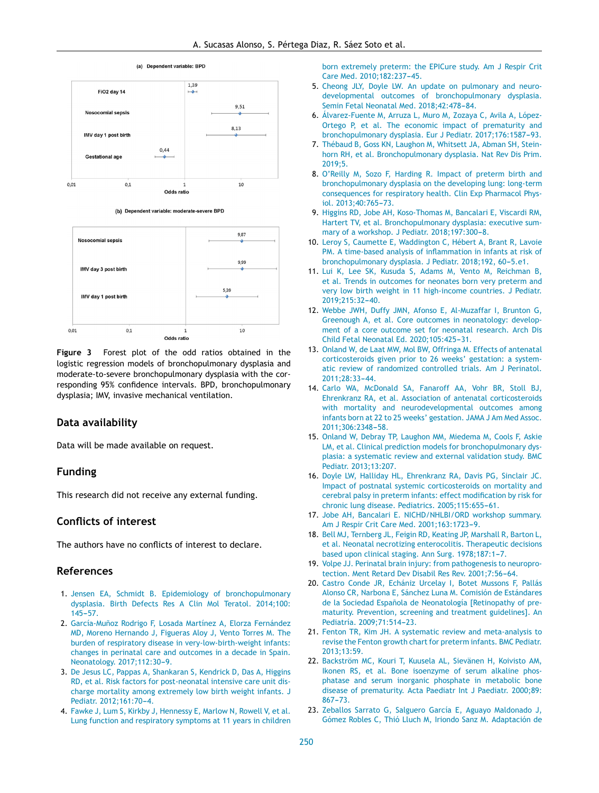<span id="page-8-0"></span>

(b) Dependent variable: moderate-severe BPD



**Figure 3** Forest plot of the odd ratios obtained in the logistic regression models of bronchopulmonary dysplasia and moderate-to-severe bronchopulmonary dysplasia with the corresponding 95% confidence intervals. BPD, bronchopulmonary dysplasia; IMV, invasive mechanical ventilation.

#### **Data availability**

Data will be made available on request.

#### **Funding**

This research did not receive any external funding.

### **Conflicts of interest**

The authors have no conflicts of interest to declare.

# **References**

- 1. [Jensen](http://refhub.elsevier.com/S2341-2879(22)00032-1/sbref0005) [EA,](http://refhub.elsevier.com/S2341-2879(22)00032-1/sbref0005) [Schmidt](http://refhub.elsevier.com/S2341-2879(22)00032-1/sbref0005) [B.](http://refhub.elsevier.com/S2341-2879(22)00032-1/sbref0005) [Epidemiology](http://refhub.elsevier.com/S2341-2879(22)00032-1/sbref0005) [of](http://refhub.elsevier.com/S2341-2879(22)00032-1/sbref0005) [bronchopulmonary](http://refhub.elsevier.com/S2341-2879(22)00032-1/sbref0005) [dysplasia.](http://refhub.elsevier.com/S2341-2879(22)00032-1/sbref0005) [Birth](http://refhub.elsevier.com/S2341-2879(22)00032-1/sbref0005) [Defects](http://refhub.elsevier.com/S2341-2879(22)00032-1/sbref0005) [Res](http://refhub.elsevier.com/S2341-2879(22)00032-1/sbref0005) [A](http://refhub.elsevier.com/S2341-2879(22)00032-1/sbref0005) [Clin](http://refhub.elsevier.com/S2341-2879(22)00032-1/sbref0005) [Mol](http://refhub.elsevier.com/S2341-2879(22)00032-1/sbref0005) [Teratol.](http://refhub.elsevier.com/S2341-2879(22)00032-1/sbref0005) [2014;100:](http://refhub.elsevier.com/S2341-2879(22)00032-1/sbref0005)  $145 - 57$
- 2. García-Muñoz [Rodrigo](http://refhub.elsevier.com/S2341-2879(22)00032-1/sbref0010) [F,](http://refhub.elsevier.com/S2341-2879(22)00032-1/sbref0010) [Losada](http://refhub.elsevier.com/S2341-2879(22)00032-1/sbref0010) [Martínez](http://refhub.elsevier.com/S2341-2879(22)00032-1/sbref0010) [A,](http://refhub.elsevier.com/S2341-2879(22)00032-1/sbref0010) [Elorza](http://refhub.elsevier.com/S2341-2879(22)00032-1/sbref0010) [Fernández](http://refhub.elsevier.com/S2341-2879(22)00032-1/sbref0010) [MD,](http://refhub.elsevier.com/S2341-2879(22)00032-1/sbref0010) [Moreno](http://refhub.elsevier.com/S2341-2879(22)00032-1/sbref0010) [Hernando](http://refhub.elsevier.com/S2341-2879(22)00032-1/sbref0010) [J,](http://refhub.elsevier.com/S2341-2879(22)00032-1/sbref0010) [Figueras](http://refhub.elsevier.com/S2341-2879(22)00032-1/sbref0010) [Aloy](http://refhub.elsevier.com/S2341-2879(22)00032-1/sbref0010) [J,](http://refhub.elsevier.com/S2341-2879(22)00032-1/sbref0010) [Vento](http://refhub.elsevier.com/S2341-2879(22)00032-1/sbref0010) [Torres](http://refhub.elsevier.com/S2341-2879(22)00032-1/sbref0010) [M.](http://refhub.elsevier.com/S2341-2879(22)00032-1/sbref0010) [The](http://refhub.elsevier.com/S2341-2879(22)00032-1/sbref0010) [burden](http://refhub.elsevier.com/S2341-2879(22)00032-1/sbref0010) [of](http://refhub.elsevier.com/S2341-2879(22)00032-1/sbref0010) [respiratory](http://refhub.elsevier.com/S2341-2879(22)00032-1/sbref0010) [disease](http://refhub.elsevier.com/S2341-2879(22)00032-1/sbref0010) [in](http://refhub.elsevier.com/S2341-2879(22)00032-1/sbref0010) [very-low-birth-weight](http://refhub.elsevier.com/S2341-2879(22)00032-1/sbref0010) [infants:](http://refhub.elsevier.com/S2341-2879(22)00032-1/sbref0010) [changes](http://refhub.elsevier.com/S2341-2879(22)00032-1/sbref0010) [in](http://refhub.elsevier.com/S2341-2879(22)00032-1/sbref0010) [perinatal](http://refhub.elsevier.com/S2341-2879(22)00032-1/sbref0010) [care](http://refhub.elsevier.com/S2341-2879(22)00032-1/sbref0010) [and](http://refhub.elsevier.com/S2341-2879(22)00032-1/sbref0010) [outcomes](http://refhub.elsevier.com/S2341-2879(22)00032-1/sbref0010) [in](http://refhub.elsevier.com/S2341-2879(22)00032-1/sbref0010) [a](http://refhub.elsevier.com/S2341-2879(22)00032-1/sbref0010) [decade](http://refhub.elsevier.com/S2341-2879(22)00032-1/sbref0010) [in](http://refhub.elsevier.com/S2341-2879(22)00032-1/sbref0010) [Spain.](http://refhub.elsevier.com/S2341-2879(22)00032-1/sbref0010) [Neonatology.](http://refhub.elsevier.com/S2341-2879(22)00032-1/sbref0010) 2017;112:30-9.
- 3. [De](http://refhub.elsevier.com/S2341-2879(22)00032-1/sbref0015) [Jesus](http://refhub.elsevier.com/S2341-2879(22)00032-1/sbref0015) [LC,](http://refhub.elsevier.com/S2341-2879(22)00032-1/sbref0015) [Pappas](http://refhub.elsevier.com/S2341-2879(22)00032-1/sbref0015) [A,](http://refhub.elsevier.com/S2341-2879(22)00032-1/sbref0015) [Shankaran](http://refhub.elsevier.com/S2341-2879(22)00032-1/sbref0015) [S,](http://refhub.elsevier.com/S2341-2879(22)00032-1/sbref0015) [Kendrick](http://refhub.elsevier.com/S2341-2879(22)00032-1/sbref0015) [D,](http://refhub.elsevier.com/S2341-2879(22)00032-1/sbref0015) [Das](http://refhub.elsevier.com/S2341-2879(22)00032-1/sbref0015) [A,](http://refhub.elsevier.com/S2341-2879(22)00032-1/sbref0015) [Higgins](http://refhub.elsevier.com/S2341-2879(22)00032-1/sbref0015) [RD,](http://refhub.elsevier.com/S2341-2879(22)00032-1/sbref0015) [et](http://refhub.elsevier.com/S2341-2879(22)00032-1/sbref0015) [al.](http://refhub.elsevier.com/S2341-2879(22)00032-1/sbref0015) [Risk](http://refhub.elsevier.com/S2341-2879(22)00032-1/sbref0015) [factors](http://refhub.elsevier.com/S2341-2879(22)00032-1/sbref0015) [for](http://refhub.elsevier.com/S2341-2879(22)00032-1/sbref0015) [post-neonatal](http://refhub.elsevier.com/S2341-2879(22)00032-1/sbref0015) [intensive](http://refhub.elsevier.com/S2341-2879(22)00032-1/sbref0015) [care](http://refhub.elsevier.com/S2341-2879(22)00032-1/sbref0015) [unit](http://refhub.elsevier.com/S2341-2879(22)00032-1/sbref0015) [dis](http://refhub.elsevier.com/S2341-2879(22)00032-1/sbref0015)[charge](http://refhub.elsevier.com/S2341-2879(22)00032-1/sbref0015) [mortality](http://refhub.elsevier.com/S2341-2879(22)00032-1/sbref0015) [among](http://refhub.elsevier.com/S2341-2879(22)00032-1/sbref0015) [extremely](http://refhub.elsevier.com/S2341-2879(22)00032-1/sbref0015) [low](http://refhub.elsevier.com/S2341-2879(22)00032-1/sbref0015) [birth](http://refhub.elsevier.com/S2341-2879(22)00032-1/sbref0015) [weight](http://refhub.elsevier.com/S2341-2879(22)00032-1/sbref0015) [infants.](http://refhub.elsevier.com/S2341-2879(22)00032-1/sbref0015) [J](http://refhub.elsevier.com/S2341-2879(22)00032-1/sbref0015) [Pediatr.](http://refhub.elsevier.com/S2341-2879(22)00032-1/sbref0015) 2012;161:70-4.
- 4. [Fawke](http://refhub.elsevier.com/S2341-2879(22)00032-1/sbref0020) [J,](http://refhub.elsevier.com/S2341-2879(22)00032-1/sbref0020) [Lum](http://refhub.elsevier.com/S2341-2879(22)00032-1/sbref0020) [S,](http://refhub.elsevier.com/S2341-2879(22)00032-1/sbref0020) [Kirkby](http://refhub.elsevier.com/S2341-2879(22)00032-1/sbref0020) [J,](http://refhub.elsevier.com/S2341-2879(22)00032-1/sbref0020) [Hennessy](http://refhub.elsevier.com/S2341-2879(22)00032-1/sbref0020) [E,](http://refhub.elsevier.com/S2341-2879(22)00032-1/sbref0020) [Marlow](http://refhub.elsevier.com/S2341-2879(22)00032-1/sbref0020) [N,](http://refhub.elsevier.com/S2341-2879(22)00032-1/sbref0020) [Rowell](http://refhub.elsevier.com/S2341-2879(22)00032-1/sbref0020) [V,](http://refhub.elsevier.com/S2341-2879(22)00032-1/sbref0020) [et](http://refhub.elsevier.com/S2341-2879(22)00032-1/sbref0020) [al.](http://refhub.elsevier.com/S2341-2879(22)00032-1/sbref0020) [Lung](http://refhub.elsevier.com/S2341-2879(22)00032-1/sbref0020) [function](http://refhub.elsevier.com/S2341-2879(22)00032-1/sbref0020) [and](http://refhub.elsevier.com/S2341-2879(22)00032-1/sbref0020) [respiratory](http://refhub.elsevier.com/S2341-2879(22)00032-1/sbref0020) [symptoms](http://refhub.elsevier.com/S2341-2879(22)00032-1/sbref0020) [at](http://refhub.elsevier.com/S2341-2879(22)00032-1/sbref0020) [11](http://refhub.elsevier.com/S2341-2879(22)00032-1/sbref0020) [years](http://refhub.elsevier.com/S2341-2879(22)00032-1/sbref0020) [in](http://refhub.elsevier.com/S2341-2879(22)00032-1/sbref0020) [children](http://refhub.elsevier.com/S2341-2879(22)00032-1/sbref0020)

[born](http://refhub.elsevier.com/S2341-2879(22)00032-1/sbref0020) [extremely](http://refhub.elsevier.com/S2341-2879(22)00032-1/sbref0020) [preterm:](http://refhub.elsevier.com/S2341-2879(22)00032-1/sbref0020) [the](http://refhub.elsevier.com/S2341-2879(22)00032-1/sbref0020) [EPICure](http://refhub.elsevier.com/S2341-2879(22)00032-1/sbref0020) [study.](http://refhub.elsevier.com/S2341-2879(22)00032-1/sbref0020) [Am](http://refhub.elsevier.com/S2341-2879(22)00032-1/sbref0020) [J](http://refhub.elsevier.com/S2341-2879(22)00032-1/sbref0020) [Respir](http://refhub.elsevier.com/S2341-2879(22)00032-1/sbref0020) [Crit](http://refhub.elsevier.com/S2341-2879(22)00032-1/sbref0020) [Care](http://refhub.elsevier.com/S2341-2879(22)00032-1/sbref0020) [Med.](http://refhub.elsevier.com/S2341-2879(22)00032-1/sbref0020) 2010:182:237-45.

- 5. [Cheong](http://refhub.elsevier.com/S2341-2879(22)00032-1/sbref0025) [JLY,](http://refhub.elsevier.com/S2341-2879(22)00032-1/sbref0025) [Doyle](http://refhub.elsevier.com/S2341-2879(22)00032-1/sbref0025) [LW.](http://refhub.elsevier.com/S2341-2879(22)00032-1/sbref0025) [An](http://refhub.elsevier.com/S2341-2879(22)00032-1/sbref0025) [update](http://refhub.elsevier.com/S2341-2879(22)00032-1/sbref0025) [on](http://refhub.elsevier.com/S2341-2879(22)00032-1/sbref0025) [pulmonary](http://refhub.elsevier.com/S2341-2879(22)00032-1/sbref0025) [and](http://refhub.elsevier.com/S2341-2879(22)00032-1/sbref0025) [neuro](http://refhub.elsevier.com/S2341-2879(22)00032-1/sbref0025)[developmental](http://refhub.elsevier.com/S2341-2879(22)00032-1/sbref0025) [outcomes](http://refhub.elsevier.com/S2341-2879(22)00032-1/sbref0025) [of](http://refhub.elsevier.com/S2341-2879(22)00032-1/sbref0025) [bronchopulmonary](http://refhub.elsevier.com/S2341-2879(22)00032-1/sbref0025) [dysplasia.](http://refhub.elsevier.com/S2341-2879(22)00032-1/sbref0025) [Semin](http://refhub.elsevier.com/S2341-2879(22)00032-1/sbref0025) [Fetal](http://refhub.elsevier.com/S2341-2879(22)00032-1/sbref0025) [Neonatal](http://refhub.elsevier.com/S2341-2879(22)00032-1/sbref0025) [Med.](http://refhub.elsevier.com/S2341-2879(22)00032-1/sbref0025) 2018;42:478-84.
- 6. [Álvarez-Fuente](http://refhub.elsevier.com/S2341-2879(22)00032-1/sbref0030) [M,](http://refhub.elsevier.com/S2341-2879(22)00032-1/sbref0030) [Arruza](http://refhub.elsevier.com/S2341-2879(22)00032-1/sbref0030) [L,](http://refhub.elsevier.com/S2341-2879(22)00032-1/sbref0030) [Muro](http://refhub.elsevier.com/S2341-2879(22)00032-1/sbref0030) [M,](http://refhub.elsevier.com/S2341-2879(22)00032-1/sbref0030) [Zozaya](http://refhub.elsevier.com/S2341-2879(22)00032-1/sbref0030) [C,](http://refhub.elsevier.com/S2341-2879(22)00032-1/sbref0030) [Avila](http://refhub.elsevier.com/S2341-2879(22)00032-1/sbref0030) [A,](http://refhub.elsevier.com/S2341-2879(22)00032-1/sbref0030) [López-](http://refhub.elsevier.com/S2341-2879(22)00032-1/sbref0030)[Ortego](http://refhub.elsevier.com/S2341-2879(22)00032-1/sbref0030) [P,](http://refhub.elsevier.com/S2341-2879(22)00032-1/sbref0030) [et](http://refhub.elsevier.com/S2341-2879(22)00032-1/sbref0030) [al.](http://refhub.elsevier.com/S2341-2879(22)00032-1/sbref0030) [The](http://refhub.elsevier.com/S2341-2879(22)00032-1/sbref0030) [economic](http://refhub.elsevier.com/S2341-2879(22)00032-1/sbref0030) [impact](http://refhub.elsevier.com/S2341-2879(22)00032-1/sbref0030) [of](http://refhub.elsevier.com/S2341-2879(22)00032-1/sbref0030) [prematurity](http://refhub.elsevier.com/S2341-2879(22)00032-1/sbref0030) [and](http://refhub.elsevier.com/S2341-2879(22)00032-1/sbref0030) [bronchopulmonary](http://refhub.elsevier.com/S2341-2879(22)00032-1/sbref0030) [dysplasia.](http://refhub.elsevier.com/S2341-2879(22)00032-1/sbref0030) [Eur](http://refhub.elsevier.com/S2341-2879(22)00032-1/sbref0030) [J](http://refhub.elsevier.com/S2341-2879(22)00032-1/sbref0030) [Pediatr.](http://refhub.elsevier.com/S2341-2879(22)00032-1/sbref0030) 2017;176:1587-93.
- 7. [Thébaud](http://refhub.elsevier.com/S2341-2879(22)00032-1/sbref0035) [B,](http://refhub.elsevier.com/S2341-2879(22)00032-1/sbref0035) [Goss](http://refhub.elsevier.com/S2341-2879(22)00032-1/sbref0035) [KN,](http://refhub.elsevier.com/S2341-2879(22)00032-1/sbref0035) [Laughon](http://refhub.elsevier.com/S2341-2879(22)00032-1/sbref0035) [M,](http://refhub.elsevier.com/S2341-2879(22)00032-1/sbref0035) [Whitsett](http://refhub.elsevier.com/S2341-2879(22)00032-1/sbref0035) [JA,](http://refhub.elsevier.com/S2341-2879(22)00032-1/sbref0035) [Abman](http://refhub.elsevier.com/S2341-2879(22)00032-1/sbref0035) [SH,](http://refhub.elsevier.com/S2341-2879(22)00032-1/sbref0035) [Stein](http://refhub.elsevier.com/S2341-2879(22)00032-1/sbref0035)[horn](http://refhub.elsevier.com/S2341-2879(22)00032-1/sbref0035) [RH,](http://refhub.elsevier.com/S2341-2879(22)00032-1/sbref0035) [et](http://refhub.elsevier.com/S2341-2879(22)00032-1/sbref0035) [al.](http://refhub.elsevier.com/S2341-2879(22)00032-1/sbref0035) [Bronchopulmonary](http://refhub.elsevier.com/S2341-2879(22)00032-1/sbref0035) [dysplasia.](http://refhub.elsevier.com/S2341-2879(22)00032-1/sbref0035) [Nat](http://refhub.elsevier.com/S2341-2879(22)00032-1/sbref0035) [Rev](http://refhub.elsevier.com/S2341-2879(22)00032-1/sbref0035) [Dis](http://refhub.elsevier.com/S2341-2879(22)00032-1/sbref0035) [Prim.](http://refhub.elsevier.com/S2341-2879(22)00032-1/sbref0035) [2019;5.](http://refhub.elsevier.com/S2341-2879(22)00032-1/sbref0035)
- 8. [O'Reilly](http://refhub.elsevier.com/S2341-2879(22)00032-1/sbref0040) [M,](http://refhub.elsevier.com/S2341-2879(22)00032-1/sbref0040) [Sozo](http://refhub.elsevier.com/S2341-2879(22)00032-1/sbref0040) [F,](http://refhub.elsevier.com/S2341-2879(22)00032-1/sbref0040) [Harding](http://refhub.elsevier.com/S2341-2879(22)00032-1/sbref0040) [R.](http://refhub.elsevier.com/S2341-2879(22)00032-1/sbref0040) [Impact](http://refhub.elsevier.com/S2341-2879(22)00032-1/sbref0040) [of](http://refhub.elsevier.com/S2341-2879(22)00032-1/sbref0040) [preterm](http://refhub.elsevier.com/S2341-2879(22)00032-1/sbref0040) [birth](http://refhub.elsevier.com/S2341-2879(22)00032-1/sbref0040) [and](http://refhub.elsevier.com/S2341-2879(22)00032-1/sbref0040) [bronchopulmonary](http://refhub.elsevier.com/S2341-2879(22)00032-1/sbref0040) [dysplasia](http://refhub.elsevier.com/S2341-2879(22)00032-1/sbref0040) [on](http://refhub.elsevier.com/S2341-2879(22)00032-1/sbref0040) [the](http://refhub.elsevier.com/S2341-2879(22)00032-1/sbref0040) [developing](http://refhub.elsevier.com/S2341-2879(22)00032-1/sbref0040) [lung:](http://refhub.elsevier.com/S2341-2879(22)00032-1/sbref0040) [long-term](http://refhub.elsevier.com/S2341-2879(22)00032-1/sbref0040) [consequences](http://refhub.elsevier.com/S2341-2879(22)00032-1/sbref0040) [for](http://refhub.elsevier.com/S2341-2879(22)00032-1/sbref0040) [respiratory](http://refhub.elsevier.com/S2341-2879(22)00032-1/sbref0040) [health.](http://refhub.elsevier.com/S2341-2879(22)00032-1/sbref0040) [Clin](http://refhub.elsevier.com/S2341-2879(22)00032-1/sbref0040) [Exp](http://refhub.elsevier.com/S2341-2879(22)00032-1/sbref0040) [Pharmacol](http://refhub.elsevier.com/S2341-2879(22)00032-1/sbref0040) [Phys](http://refhub.elsevier.com/S2341-2879(22)00032-1/sbref0040)[iol.](http://refhub.elsevier.com/S2341-2879(22)00032-1/sbref0040) 2013:40:765-[73.](http://refhub.elsevier.com/S2341-2879(22)00032-1/sbref0040)
- 9. [Higgins](http://refhub.elsevier.com/S2341-2879(22)00032-1/sbref0045) [RD,](http://refhub.elsevier.com/S2341-2879(22)00032-1/sbref0045) [Jobe](http://refhub.elsevier.com/S2341-2879(22)00032-1/sbref0045) [AH,](http://refhub.elsevier.com/S2341-2879(22)00032-1/sbref0045) [Koso-Thomas](http://refhub.elsevier.com/S2341-2879(22)00032-1/sbref0045) [M,](http://refhub.elsevier.com/S2341-2879(22)00032-1/sbref0045) [Bancalari](http://refhub.elsevier.com/S2341-2879(22)00032-1/sbref0045) [E,](http://refhub.elsevier.com/S2341-2879(22)00032-1/sbref0045) [Viscardi](http://refhub.elsevier.com/S2341-2879(22)00032-1/sbref0045) [RM,](http://refhub.elsevier.com/S2341-2879(22)00032-1/sbref0045) [Hartert](http://refhub.elsevier.com/S2341-2879(22)00032-1/sbref0045) [TV,](http://refhub.elsevier.com/S2341-2879(22)00032-1/sbref0045) [et](http://refhub.elsevier.com/S2341-2879(22)00032-1/sbref0045) [al.](http://refhub.elsevier.com/S2341-2879(22)00032-1/sbref0045) [Bronchopulmonary](http://refhub.elsevier.com/S2341-2879(22)00032-1/sbref0045) [dysplasia:](http://refhub.elsevier.com/S2341-2879(22)00032-1/sbref0045) [executive](http://refhub.elsevier.com/S2341-2879(22)00032-1/sbref0045) [sum](http://refhub.elsevier.com/S2341-2879(22)00032-1/sbref0045)[mary](http://refhub.elsevier.com/S2341-2879(22)00032-1/sbref0045) [of](http://refhub.elsevier.com/S2341-2879(22)00032-1/sbref0045) [a](http://refhub.elsevier.com/S2341-2879(22)00032-1/sbref0045) [workshop.](http://refhub.elsevier.com/S2341-2879(22)00032-1/sbref0045) [J](http://refhub.elsevier.com/S2341-2879(22)00032-1/sbref0045) [Pediatr.](http://refhub.elsevier.com/S2341-2879(22)00032-1/sbref0045) [2018;197:300](http://refhub.elsevier.com/S2341-2879(22)00032-1/sbref0045)-[8.](http://refhub.elsevier.com/S2341-2879(22)00032-1/sbref0045)
- 10. [Leroy](http://refhub.elsevier.com/S2341-2879(22)00032-1/sbref0050) [S,](http://refhub.elsevier.com/S2341-2879(22)00032-1/sbref0050) [Caumette](http://refhub.elsevier.com/S2341-2879(22)00032-1/sbref0050) [E,](http://refhub.elsevier.com/S2341-2879(22)00032-1/sbref0050) [Waddington](http://refhub.elsevier.com/S2341-2879(22)00032-1/sbref0050) [C,](http://refhub.elsevier.com/S2341-2879(22)00032-1/sbref0050) [Hébert](http://refhub.elsevier.com/S2341-2879(22)00032-1/sbref0050) [A,](http://refhub.elsevier.com/S2341-2879(22)00032-1/sbref0050) [Brant](http://refhub.elsevier.com/S2341-2879(22)00032-1/sbref0050) [R,](http://refhub.elsevier.com/S2341-2879(22)00032-1/sbref0050) [Lavoie](http://refhub.elsevier.com/S2341-2879(22)00032-1/sbref0050) [PM.](http://refhub.elsevier.com/S2341-2879(22)00032-1/sbref0050) [A](http://refhub.elsevier.com/S2341-2879(22)00032-1/sbref0050) [time-based](http://refhub.elsevier.com/S2341-2879(22)00032-1/sbref0050) [analysis](http://refhub.elsevier.com/S2341-2879(22)00032-1/sbref0050) [of](http://refhub.elsevier.com/S2341-2879(22)00032-1/sbref0050) [inflammation](http://refhub.elsevier.com/S2341-2879(22)00032-1/sbref0050) [in](http://refhub.elsevier.com/S2341-2879(22)00032-1/sbref0050) [infants](http://refhub.elsevier.com/S2341-2879(22)00032-1/sbref0050) [at](http://refhub.elsevier.com/S2341-2879(22)00032-1/sbref0050) [risk](http://refhub.elsevier.com/S2341-2879(22)00032-1/sbref0050) [of](http://refhub.elsevier.com/S2341-2879(22)00032-1/sbref0050) [bronchopulmonary](http://refhub.elsevier.com/S2341-2879(22)00032-1/sbref0050) [dysplasia.](http://refhub.elsevier.com/S2341-2879(22)00032-1/sbref0050) [J](http://refhub.elsevier.com/S2341-2879(22)00032-1/sbref0050) [Pediatr.](http://refhub.elsevier.com/S2341-2879(22)00032-1/sbref0050) [2018;192,](http://refhub.elsevier.com/S2341-2879(22)00032-1/sbref0050) 60-5.e1.
- 11. [Lui](http://refhub.elsevier.com/S2341-2879(22)00032-1/sbref0055) [K,](http://refhub.elsevier.com/S2341-2879(22)00032-1/sbref0055) [Lee](http://refhub.elsevier.com/S2341-2879(22)00032-1/sbref0055) [SK,](http://refhub.elsevier.com/S2341-2879(22)00032-1/sbref0055) [Kusuda](http://refhub.elsevier.com/S2341-2879(22)00032-1/sbref0055) [S,](http://refhub.elsevier.com/S2341-2879(22)00032-1/sbref0055) [Adams](http://refhub.elsevier.com/S2341-2879(22)00032-1/sbref0055) [M,](http://refhub.elsevier.com/S2341-2879(22)00032-1/sbref0055) [Vento](http://refhub.elsevier.com/S2341-2879(22)00032-1/sbref0055) [M,](http://refhub.elsevier.com/S2341-2879(22)00032-1/sbref0055) [Reichman](http://refhub.elsevier.com/S2341-2879(22)00032-1/sbref0055) [B,](http://refhub.elsevier.com/S2341-2879(22)00032-1/sbref0055) [et](http://refhub.elsevier.com/S2341-2879(22)00032-1/sbref0055) [al.](http://refhub.elsevier.com/S2341-2879(22)00032-1/sbref0055) [Trends](http://refhub.elsevier.com/S2341-2879(22)00032-1/sbref0055) [in](http://refhub.elsevier.com/S2341-2879(22)00032-1/sbref0055) [outcomes](http://refhub.elsevier.com/S2341-2879(22)00032-1/sbref0055) [for](http://refhub.elsevier.com/S2341-2879(22)00032-1/sbref0055) [neonates](http://refhub.elsevier.com/S2341-2879(22)00032-1/sbref0055) [born](http://refhub.elsevier.com/S2341-2879(22)00032-1/sbref0055) [very](http://refhub.elsevier.com/S2341-2879(22)00032-1/sbref0055) [preterm](http://refhub.elsevier.com/S2341-2879(22)00032-1/sbref0055) [and](http://refhub.elsevier.com/S2341-2879(22)00032-1/sbref0055) [very](http://refhub.elsevier.com/S2341-2879(22)00032-1/sbref0055) [low](http://refhub.elsevier.com/S2341-2879(22)00032-1/sbref0055) [birth](http://refhub.elsevier.com/S2341-2879(22)00032-1/sbref0055) [weight](http://refhub.elsevier.com/S2341-2879(22)00032-1/sbref0055) [in](http://refhub.elsevier.com/S2341-2879(22)00032-1/sbref0055) [11](http://refhub.elsevier.com/S2341-2879(22)00032-1/sbref0055) [high-income](http://refhub.elsevier.com/S2341-2879(22)00032-1/sbref0055) [countries.](http://refhub.elsevier.com/S2341-2879(22)00032-1/sbref0055) [J](http://refhub.elsevier.com/S2341-2879(22)00032-1/sbref0055) [Pediatr.](http://refhub.elsevier.com/S2341-2879(22)00032-1/sbref0055) 2019;215:32-40.
- 12. [Webbe](http://refhub.elsevier.com/S2341-2879(22)00032-1/sbref0060) [JWH,](http://refhub.elsevier.com/S2341-2879(22)00032-1/sbref0060) [Duffy](http://refhub.elsevier.com/S2341-2879(22)00032-1/sbref0060) [JMN,](http://refhub.elsevier.com/S2341-2879(22)00032-1/sbref0060) [Afonso](http://refhub.elsevier.com/S2341-2879(22)00032-1/sbref0060) [E,](http://refhub.elsevier.com/S2341-2879(22)00032-1/sbref0060) [Al-Muzaffar](http://refhub.elsevier.com/S2341-2879(22)00032-1/sbref0060) [I,](http://refhub.elsevier.com/S2341-2879(22)00032-1/sbref0060) [Brunton](http://refhub.elsevier.com/S2341-2879(22)00032-1/sbref0060) [G,](http://refhub.elsevier.com/S2341-2879(22)00032-1/sbref0060) [Greenough](http://refhub.elsevier.com/S2341-2879(22)00032-1/sbref0060) [A,](http://refhub.elsevier.com/S2341-2879(22)00032-1/sbref0060) [et](http://refhub.elsevier.com/S2341-2879(22)00032-1/sbref0060) [al.](http://refhub.elsevier.com/S2341-2879(22)00032-1/sbref0060) [Core](http://refhub.elsevier.com/S2341-2879(22)00032-1/sbref0060) [outcomes](http://refhub.elsevier.com/S2341-2879(22)00032-1/sbref0060) [in](http://refhub.elsevier.com/S2341-2879(22)00032-1/sbref0060) [neonatology:](http://refhub.elsevier.com/S2341-2879(22)00032-1/sbref0060) [develop](http://refhub.elsevier.com/S2341-2879(22)00032-1/sbref0060)[ment](http://refhub.elsevier.com/S2341-2879(22)00032-1/sbref0060) [of](http://refhub.elsevier.com/S2341-2879(22)00032-1/sbref0060) [a](http://refhub.elsevier.com/S2341-2879(22)00032-1/sbref0060) [core](http://refhub.elsevier.com/S2341-2879(22)00032-1/sbref0060) [outcome](http://refhub.elsevier.com/S2341-2879(22)00032-1/sbref0060) [set](http://refhub.elsevier.com/S2341-2879(22)00032-1/sbref0060) [for](http://refhub.elsevier.com/S2341-2879(22)00032-1/sbref0060) [neonatal](http://refhub.elsevier.com/S2341-2879(22)00032-1/sbref0060) [research.](http://refhub.elsevier.com/S2341-2879(22)00032-1/sbref0060) [Arch](http://refhub.elsevier.com/S2341-2879(22)00032-1/sbref0060) [Dis](http://refhub.elsevier.com/S2341-2879(22)00032-1/sbref0060) [Child](http://refhub.elsevier.com/S2341-2879(22)00032-1/sbref0060) [Fetal](http://refhub.elsevier.com/S2341-2879(22)00032-1/sbref0060) [Neonatal](http://refhub.elsevier.com/S2341-2879(22)00032-1/sbref0060) [Ed.](http://refhub.elsevier.com/S2341-2879(22)00032-1/sbref0060) 2020;105:425-31.
- 13. [Onland](http://refhub.elsevier.com/S2341-2879(22)00032-1/sbref0065) [W,](http://refhub.elsevier.com/S2341-2879(22)00032-1/sbref0065) [de](http://refhub.elsevier.com/S2341-2879(22)00032-1/sbref0065) [Laat](http://refhub.elsevier.com/S2341-2879(22)00032-1/sbref0065) [MW,](http://refhub.elsevier.com/S2341-2879(22)00032-1/sbref0065) [Mol](http://refhub.elsevier.com/S2341-2879(22)00032-1/sbref0065) [BW,](http://refhub.elsevier.com/S2341-2879(22)00032-1/sbref0065) [Offringa](http://refhub.elsevier.com/S2341-2879(22)00032-1/sbref0065) [M.](http://refhub.elsevier.com/S2341-2879(22)00032-1/sbref0065) [Effects](http://refhub.elsevier.com/S2341-2879(22)00032-1/sbref0065) [of](http://refhub.elsevier.com/S2341-2879(22)00032-1/sbref0065) [antenatal](http://refhub.elsevier.com/S2341-2879(22)00032-1/sbref0065) [corticosteroids](http://refhub.elsevier.com/S2341-2879(22)00032-1/sbref0065) [given](http://refhub.elsevier.com/S2341-2879(22)00032-1/sbref0065) [prior](http://refhub.elsevier.com/S2341-2879(22)00032-1/sbref0065) [to](http://refhub.elsevier.com/S2341-2879(22)00032-1/sbref0065) [26](http://refhub.elsevier.com/S2341-2879(22)00032-1/sbref0065) [weeks'](http://refhub.elsevier.com/S2341-2879(22)00032-1/sbref0065) [gestation:](http://refhub.elsevier.com/S2341-2879(22)00032-1/sbref0065) [a](http://refhub.elsevier.com/S2341-2879(22)00032-1/sbref0065) [system](http://refhub.elsevier.com/S2341-2879(22)00032-1/sbref0065)[atic](http://refhub.elsevier.com/S2341-2879(22)00032-1/sbref0065) [review](http://refhub.elsevier.com/S2341-2879(22)00032-1/sbref0065) [of](http://refhub.elsevier.com/S2341-2879(22)00032-1/sbref0065) [randomized](http://refhub.elsevier.com/S2341-2879(22)00032-1/sbref0065) [controlled](http://refhub.elsevier.com/S2341-2879(22)00032-1/sbref0065) [trials.](http://refhub.elsevier.com/S2341-2879(22)00032-1/sbref0065) [Am](http://refhub.elsevier.com/S2341-2879(22)00032-1/sbref0065) [J](http://refhub.elsevier.com/S2341-2879(22)00032-1/sbref0065) [Perinatol.](http://refhub.elsevier.com/S2341-2879(22)00032-1/sbref0065) 2011;28:33-44.
- 14. [Carlo](http://refhub.elsevier.com/S2341-2879(22)00032-1/sbref0070) [WA,](http://refhub.elsevier.com/S2341-2879(22)00032-1/sbref0070) [McDonald](http://refhub.elsevier.com/S2341-2879(22)00032-1/sbref0070) [SA,](http://refhub.elsevier.com/S2341-2879(22)00032-1/sbref0070) [Fanaroff](http://refhub.elsevier.com/S2341-2879(22)00032-1/sbref0070) [AA,](http://refhub.elsevier.com/S2341-2879(22)00032-1/sbref0070) [Vohr](http://refhub.elsevier.com/S2341-2879(22)00032-1/sbref0070) [BR,](http://refhub.elsevier.com/S2341-2879(22)00032-1/sbref0070) [Stoll](http://refhub.elsevier.com/S2341-2879(22)00032-1/sbref0070) [BJ,](http://refhub.elsevier.com/S2341-2879(22)00032-1/sbref0070) [Ehrenkranz](http://refhub.elsevier.com/S2341-2879(22)00032-1/sbref0070) [RA,](http://refhub.elsevier.com/S2341-2879(22)00032-1/sbref0070) [et](http://refhub.elsevier.com/S2341-2879(22)00032-1/sbref0070) [al.](http://refhub.elsevier.com/S2341-2879(22)00032-1/sbref0070) [Association](http://refhub.elsevier.com/S2341-2879(22)00032-1/sbref0070) [of](http://refhub.elsevier.com/S2341-2879(22)00032-1/sbref0070) [antenatal](http://refhub.elsevier.com/S2341-2879(22)00032-1/sbref0070) [corticosteroids](http://refhub.elsevier.com/S2341-2879(22)00032-1/sbref0070) [with](http://refhub.elsevier.com/S2341-2879(22)00032-1/sbref0070) [mortality](http://refhub.elsevier.com/S2341-2879(22)00032-1/sbref0070) [and](http://refhub.elsevier.com/S2341-2879(22)00032-1/sbref0070) [neurodevelopmental](http://refhub.elsevier.com/S2341-2879(22)00032-1/sbref0070) [outcomes](http://refhub.elsevier.com/S2341-2879(22)00032-1/sbref0070) [among](http://refhub.elsevier.com/S2341-2879(22)00032-1/sbref0070) [infants](http://refhub.elsevier.com/S2341-2879(22)00032-1/sbref0070) [born](http://refhub.elsevier.com/S2341-2879(22)00032-1/sbref0070) [at](http://refhub.elsevier.com/S2341-2879(22)00032-1/sbref0070) [22](http://refhub.elsevier.com/S2341-2879(22)00032-1/sbref0070) [to](http://refhub.elsevier.com/S2341-2879(22)00032-1/sbref0070) [25](http://refhub.elsevier.com/S2341-2879(22)00032-1/sbref0070) [weeks'](http://refhub.elsevier.com/S2341-2879(22)00032-1/sbref0070) [gestation.](http://refhub.elsevier.com/S2341-2879(22)00032-1/sbref0070) [JAMA](http://refhub.elsevier.com/S2341-2879(22)00032-1/sbref0070) [J](http://refhub.elsevier.com/S2341-2879(22)00032-1/sbref0070) [Am](http://refhub.elsevier.com/S2341-2879(22)00032-1/sbref0070) [Med](http://refhub.elsevier.com/S2341-2879(22)00032-1/sbref0070) [Assoc.](http://refhub.elsevier.com/S2341-2879(22)00032-1/sbref0070) 2011;306:2348-58.
- 15. [Onland](http://refhub.elsevier.com/S2341-2879(22)00032-1/sbref0075) [W,](http://refhub.elsevier.com/S2341-2879(22)00032-1/sbref0075) [Debray](http://refhub.elsevier.com/S2341-2879(22)00032-1/sbref0075) [TP,](http://refhub.elsevier.com/S2341-2879(22)00032-1/sbref0075) [Laughon](http://refhub.elsevier.com/S2341-2879(22)00032-1/sbref0075) [MM,](http://refhub.elsevier.com/S2341-2879(22)00032-1/sbref0075) [Miedema](http://refhub.elsevier.com/S2341-2879(22)00032-1/sbref0075) [M,](http://refhub.elsevier.com/S2341-2879(22)00032-1/sbref0075) [Cools](http://refhub.elsevier.com/S2341-2879(22)00032-1/sbref0075) [F,](http://refhub.elsevier.com/S2341-2879(22)00032-1/sbref0075) [Askie](http://refhub.elsevier.com/S2341-2879(22)00032-1/sbref0075) [LM,](http://refhub.elsevier.com/S2341-2879(22)00032-1/sbref0075) [et](http://refhub.elsevier.com/S2341-2879(22)00032-1/sbref0075) [al.](http://refhub.elsevier.com/S2341-2879(22)00032-1/sbref0075) [Clinical](http://refhub.elsevier.com/S2341-2879(22)00032-1/sbref0075) [prediction](http://refhub.elsevier.com/S2341-2879(22)00032-1/sbref0075) [models](http://refhub.elsevier.com/S2341-2879(22)00032-1/sbref0075) [for](http://refhub.elsevier.com/S2341-2879(22)00032-1/sbref0075) [bronchopulmonary](http://refhub.elsevier.com/S2341-2879(22)00032-1/sbref0075) [dys](http://refhub.elsevier.com/S2341-2879(22)00032-1/sbref0075)[plasia:](http://refhub.elsevier.com/S2341-2879(22)00032-1/sbref0075) [a](http://refhub.elsevier.com/S2341-2879(22)00032-1/sbref0075) [systematic](http://refhub.elsevier.com/S2341-2879(22)00032-1/sbref0075) [review](http://refhub.elsevier.com/S2341-2879(22)00032-1/sbref0075) [and](http://refhub.elsevier.com/S2341-2879(22)00032-1/sbref0075) [external](http://refhub.elsevier.com/S2341-2879(22)00032-1/sbref0075) [validation](http://refhub.elsevier.com/S2341-2879(22)00032-1/sbref0075) [study.](http://refhub.elsevier.com/S2341-2879(22)00032-1/sbref0075) [BMC](http://refhub.elsevier.com/S2341-2879(22)00032-1/sbref0075) [Pediatr.](http://refhub.elsevier.com/S2341-2879(22)00032-1/sbref0075) [2013;13:207.](http://refhub.elsevier.com/S2341-2879(22)00032-1/sbref0075)
- 16. [Doyle](http://refhub.elsevier.com/S2341-2879(22)00032-1/sbref0080) [LW,](http://refhub.elsevier.com/S2341-2879(22)00032-1/sbref0080) [Halliday](http://refhub.elsevier.com/S2341-2879(22)00032-1/sbref0080) [HL,](http://refhub.elsevier.com/S2341-2879(22)00032-1/sbref0080) [Ehrenkranz](http://refhub.elsevier.com/S2341-2879(22)00032-1/sbref0080) [RA,](http://refhub.elsevier.com/S2341-2879(22)00032-1/sbref0080) [Davis](http://refhub.elsevier.com/S2341-2879(22)00032-1/sbref0080) [PG,](http://refhub.elsevier.com/S2341-2879(22)00032-1/sbref0080) [Sinclair](http://refhub.elsevier.com/S2341-2879(22)00032-1/sbref0080) [JC.](http://refhub.elsevier.com/S2341-2879(22)00032-1/sbref0080) [Impact](http://refhub.elsevier.com/S2341-2879(22)00032-1/sbref0080) [of](http://refhub.elsevier.com/S2341-2879(22)00032-1/sbref0080) [postnatal](http://refhub.elsevier.com/S2341-2879(22)00032-1/sbref0080) [systemic](http://refhub.elsevier.com/S2341-2879(22)00032-1/sbref0080) [corticosteroids](http://refhub.elsevier.com/S2341-2879(22)00032-1/sbref0080) [on](http://refhub.elsevier.com/S2341-2879(22)00032-1/sbref0080) [mortality](http://refhub.elsevier.com/S2341-2879(22)00032-1/sbref0080) [and](http://refhub.elsevier.com/S2341-2879(22)00032-1/sbref0080) [cerebral](http://refhub.elsevier.com/S2341-2879(22)00032-1/sbref0080) [palsy](http://refhub.elsevier.com/S2341-2879(22)00032-1/sbref0080) [in](http://refhub.elsevier.com/S2341-2879(22)00032-1/sbref0080) [preterm](http://refhub.elsevier.com/S2341-2879(22)00032-1/sbref0080) [infants:](http://refhub.elsevier.com/S2341-2879(22)00032-1/sbref0080) [effect](http://refhub.elsevier.com/S2341-2879(22)00032-1/sbref0080) [modification](http://refhub.elsevier.com/S2341-2879(22)00032-1/sbref0080) [by](http://refhub.elsevier.com/S2341-2879(22)00032-1/sbref0080) [risk](http://refhub.elsevier.com/S2341-2879(22)00032-1/sbref0080) [for](http://refhub.elsevier.com/S2341-2879(22)00032-1/sbref0080) [chronic](http://refhub.elsevier.com/S2341-2879(22)00032-1/sbref0080) [lung](http://refhub.elsevier.com/S2341-2879(22)00032-1/sbref0080) [disease.](http://refhub.elsevier.com/S2341-2879(22)00032-1/sbref0080) [Pediatrics.](http://refhub.elsevier.com/S2341-2879(22)00032-1/sbref0080) [2005;115:655](http://refhub.elsevier.com/S2341-2879(22)00032-1/sbref0080)-[61.](http://refhub.elsevier.com/S2341-2879(22)00032-1/sbref0080)
- 17. [Jobe](http://refhub.elsevier.com/S2341-2879(22)00032-1/sbref0085) [AH,](http://refhub.elsevier.com/S2341-2879(22)00032-1/sbref0085) [Bancalari](http://refhub.elsevier.com/S2341-2879(22)00032-1/sbref0085) [E.](http://refhub.elsevier.com/S2341-2879(22)00032-1/sbref0085) [NICHD/NHLBI/ORD](http://refhub.elsevier.com/S2341-2879(22)00032-1/sbref0085) [workshop](http://refhub.elsevier.com/S2341-2879(22)00032-1/sbref0085) [summary.](http://refhub.elsevier.com/S2341-2879(22)00032-1/sbref0085) [Am](http://refhub.elsevier.com/S2341-2879(22)00032-1/sbref0085) [J](http://refhub.elsevier.com/S2341-2879(22)00032-1/sbref0085) [Respir](http://refhub.elsevier.com/S2341-2879(22)00032-1/sbref0085) [Crit](http://refhub.elsevier.com/S2341-2879(22)00032-1/sbref0085) [Care](http://refhub.elsevier.com/S2341-2879(22)00032-1/sbref0085) [Med.](http://refhub.elsevier.com/S2341-2879(22)00032-1/sbref0085) 2001;163:1723-9.
- 18. [Bell](http://refhub.elsevier.com/S2341-2879(22)00032-1/sbref0090) [MJ,](http://refhub.elsevier.com/S2341-2879(22)00032-1/sbref0090) [Ternberg](http://refhub.elsevier.com/S2341-2879(22)00032-1/sbref0090) [JL,](http://refhub.elsevier.com/S2341-2879(22)00032-1/sbref0090) [Feigin](http://refhub.elsevier.com/S2341-2879(22)00032-1/sbref0090) [RD,](http://refhub.elsevier.com/S2341-2879(22)00032-1/sbref0090) [Keating](http://refhub.elsevier.com/S2341-2879(22)00032-1/sbref0090) [JP,](http://refhub.elsevier.com/S2341-2879(22)00032-1/sbref0090) [Marshall](http://refhub.elsevier.com/S2341-2879(22)00032-1/sbref0090) [R,](http://refhub.elsevier.com/S2341-2879(22)00032-1/sbref0090) [Barton](http://refhub.elsevier.com/S2341-2879(22)00032-1/sbref0090) [L,](http://refhub.elsevier.com/S2341-2879(22)00032-1/sbref0090) [et](http://refhub.elsevier.com/S2341-2879(22)00032-1/sbref0090) [al.](http://refhub.elsevier.com/S2341-2879(22)00032-1/sbref0090) [Neonatal](http://refhub.elsevier.com/S2341-2879(22)00032-1/sbref0090) [necrotizing](http://refhub.elsevier.com/S2341-2879(22)00032-1/sbref0090) [enterocolitis.](http://refhub.elsevier.com/S2341-2879(22)00032-1/sbref0090) [Therapeutic](http://refhub.elsevier.com/S2341-2879(22)00032-1/sbref0090) [decisions](http://refhub.elsevier.com/S2341-2879(22)00032-1/sbref0090) [based](http://refhub.elsevier.com/S2341-2879(22)00032-1/sbref0090) [upon](http://refhub.elsevier.com/S2341-2879(22)00032-1/sbref0090) [clinical](http://refhub.elsevier.com/S2341-2879(22)00032-1/sbref0090) [staging.](http://refhub.elsevier.com/S2341-2879(22)00032-1/sbref0090) [Ann](http://refhub.elsevier.com/S2341-2879(22)00032-1/sbref0090) [Surg.](http://refhub.elsevier.com/S2341-2879(22)00032-1/sbref0090) 1978;187:1-7.
- 19. [Volpe](http://refhub.elsevier.com/S2341-2879(22)00032-1/sbref0095) [JJ.](http://refhub.elsevier.com/S2341-2879(22)00032-1/sbref0095) [Perinatal](http://refhub.elsevier.com/S2341-2879(22)00032-1/sbref0095) [brain](http://refhub.elsevier.com/S2341-2879(22)00032-1/sbref0095) [injury:](http://refhub.elsevier.com/S2341-2879(22)00032-1/sbref0095) [from](http://refhub.elsevier.com/S2341-2879(22)00032-1/sbref0095) [pathogenesis](http://refhub.elsevier.com/S2341-2879(22)00032-1/sbref0095) [to](http://refhub.elsevier.com/S2341-2879(22)00032-1/sbref0095) [neuropro](http://refhub.elsevier.com/S2341-2879(22)00032-1/sbref0095)[tection.](http://refhub.elsevier.com/S2341-2879(22)00032-1/sbref0095) [Ment](http://refhub.elsevier.com/S2341-2879(22)00032-1/sbref0095) [Retard](http://refhub.elsevier.com/S2341-2879(22)00032-1/sbref0095) [Dev](http://refhub.elsevier.com/S2341-2879(22)00032-1/sbref0095) [Disabil](http://refhub.elsevier.com/S2341-2879(22)00032-1/sbref0095) [Res](http://refhub.elsevier.com/S2341-2879(22)00032-1/sbref0095) [Rev.](http://refhub.elsevier.com/S2341-2879(22)00032-1/sbref0095) 2001;7:56-64.
- 20. [Castro](http://refhub.elsevier.com/S2341-2879(22)00032-1/sbref0100) [Conde](http://refhub.elsevier.com/S2341-2879(22)00032-1/sbref0100) [JR,](http://refhub.elsevier.com/S2341-2879(22)00032-1/sbref0100) [Echániz](http://refhub.elsevier.com/S2341-2879(22)00032-1/sbref0100) [Urcelay](http://refhub.elsevier.com/S2341-2879(22)00032-1/sbref0100) [I,](http://refhub.elsevier.com/S2341-2879(22)00032-1/sbref0100) [Botet](http://refhub.elsevier.com/S2341-2879(22)00032-1/sbref0100) [Mussons](http://refhub.elsevier.com/S2341-2879(22)00032-1/sbref0100) [F,](http://refhub.elsevier.com/S2341-2879(22)00032-1/sbref0100) [Pallás](http://refhub.elsevier.com/S2341-2879(22)00032-1/sbref0100) [Alonso](http://refhub.elsevier.com/S2341-2879(22)00032-1/sbref0100) [CR,](http://refhub.elsevier.com/S2341-2879(22)00032-1/sbref0100) [Narbona](http://refhub.elsevier.com/S2341-2879(22)00032-1/sbref0100) [E,](http://refhub.elsevier.com/S2341-2879(22)00032-1/sbref0100) [Sánchez](http://refhub.elsevier.com/S2341-2879(22)00032-1/sbref0100) [Luna](http://refhub.elsevier.com/S2341-2879(22)00032-1/sbref0100) [M.](http://refhub.elsevier.com/S2341-2879(22)00032-1/sbref0100) [Comisión](http://refhub.elsevier.com/S2341-2879(22)00032-1/sbref0100) [de](http://refhub.elsevier.com/S2341-2879(22)00032-1/sbref0100) [Estándares](http://refhub.elsevier.com/S2341-2879(22)00032-1/sbref0100) [de](http://refhub.elsevier.com/S2341-2879(22)00032-1/sbref0100) [la](http://refhub.elsevier.com/S2341-2879(22)00032-1/sbref0100) [Sociedad](http://refhub.elsevier.com/S2341-2879(22)00032-1/sbref0100) Española de [Neonatología](http://refhub.elsevier.com/S2341-2879(22)00032-1/sbref0100) [\[Retinopathy](http://refhub.elsevier.com/S2341-2879(22)00032-1/sbref0100) [of](http://refhub.elsevier.com/S2341-2879(22)00032-1/sbref0100) [pre](http://refhub.elsevier.com/S2341-2879(22)00032-1/sbref0100)[maturity.](http://refhub.elsevier.com/S2341-2879(22)00032-1/sbref0100) [Prevention,](http://refhub.elsevier.com/S2341-2879(22)00032-1/sbref0100) [screening](http://refhub.elsevier.com/S2341-2879(22)00032-1/sbref0100) [and](http://refhub.elsevier.com/S2341-2879(22)00032-1/sbref0100) [treatment](http://refhub.elsevier.com/S2341-2879(22)00032-1/sbref0100) [guidelines\].](http://refhub.elsevier.com/S2341-2879(22)00032-1/sbref0100) [An](http://refhub.elsevier.com/S2341-2879(22)00032-1/sbref0100) [Pediatría.](http://refhub.elsevier.com/S2341-2879(22)00032-1/sbref0100) 2009:71:514-23.
- 21. [Fenton](http://refhub.elsevier.com/S2341-2879(22)00032-1/sbref0105) [TR,](http://refhub.elsevier.com/S2341-2879(22)00032-1/sbref0105) [Kim](http://refhub.elsevier.com/S2341-2879(22)00032-1/sbref0105) [JH.](http://refhub.elsevier.com/S2341-2879(22)00032-1/sbref0105) [A](http://refhub.elsevier.com/S2341-2879(22)00032-1/sbref0105) [systematic](http://refhub.elsevier.com/S2341-2879(22)00032-1/sbref0105) [review](http://refhub.elsevier.com/S2341-2879(22)00032-1/sbref0105) [and](http://refhub.elsevier.com/S2341-2879(22)00032-1/sbref0105) [meta-analysis](http://refhub.elsevier.com/S2341-2879(22)00032-1/sbref0105) [to](http://refhub.elsevier.com/S2341-2879(22)00032-1/sbref0105) [revise](http://refhub.elsevier.com/S2341-2879(22)00032-1/sbref0105) [the](http://refhub.elsevier.com/S2341-2879(22)00032-1/sbref0105) [Fenton](http://refhub.elsevier.com/S2341-2879(22)00032-1/sbref0105) [growth](http://refhub.elsevier.com/S2341-2879(22)00032-1/sbref0105) [chart](http://refhub.elsevier.com/S2341-2879(22)00032-1/sbref0105) [for](http://refhub.elsevier.com/S2341-2879(22)00032-1/sbref0105) [preterm](http://refhub.elsevier.com/S2341-2879(22)00032-1/sbref0105) [infants.](http://refhub.elsevier.com/S2341-2879(22)00032-1/sbref0105) [BMC](http://refhub.elsevier.com/S2341-2879(22)00032-1/sbref0105) [Pediatr.](http://refhub.elsevier.com/S2341-2879(22)00032-1/sbref0105) [2013;13:59.](http://refhub.elsevier.com/S2341-2879(22)00032-1/sbref0105)
- 22. [Backström](http://refhub.elsevier.com/S2341-2879(22)00032-1/sbref0110) [MC,](http://refhub.elsevier.com/S2341-2879(22)00032-1/sbref0110) [Kouri](http://refhub.elsevier.com/S2341-2879(22)00032-1/sbref0110) [T,](http://refhub.elsevier.com/S2341-2879(22)00032-1/sbref0110) [Kuusela](http://refhub.elsevier.com/S2341-2879(22)00032-1/sbref0110) [AL,](http://refhub.elsevier.com/S2341-2879(22)00032-1/sbref0110) [Sievänen](http://refhub.elsevier.com/S2341-2879(22)00032-1/sbref0110) [H,](http://refhub.elsevier.com/S2341-2879(22)00032-1/sbref0110) [Koivisto](http://refhub.elsevier.com/S2341-2879(22)00032-1/sbref0110) [AM,](http://refhub.elsevier.com/S2341-2879(22)00032-1/sbref0110) [Ikonen](http://refhub.elsevier.com/S2341-2879(22)00032-1/sbref0110) [RS,](http://refhub.elsevier.com/S2341-2879(22)00032-1/sbref0110) [et](http://refhub.elsevier.com/S2341-2879(22)00032-1/sbref0110) [al.](http://refhub.elsevier.com/S2341-2879(22)00032-1/sbref0110) [Bone](http://refhub.elsevier.com/S2341-2879(22)00032-1/sbref0110) [isoenzyme](http://refhub.elsevier.com/S2341-2879(22)00032-1/sbref0110) [of](http://refhub.elsevier.com/S2341-2879(22)00032-1/sbref0110) [serum](http://refhub.elsevier.com/S2341-2879(22)00032-1/sbref0110) [alkaline](http://refhub.elsevier.com/S2341-2879(22)00032-1/sbref0110) [phos](http://refhub.elsevier.com/S2341-2879(22)00032-1/sbref0110)[phatase](http://refhub.elsevier.com/S2341-2879(22)00032-1/sbref0110) [and](http://refhub.elsevier.com/S2341-2879(22)00032-1/sbref0110) [serum](http://refhub.elsevier.com/S2341-2879(22)00032-1/sbref0110) [inorganic](http://refhub.elsevier.com/S2341-2879(22)00032-1/sbref0110) [phosphate](http://refhub.elsevier.com/S2341-2879(22)00032-1/sbref0110) [in](http://refhub.elsevier.com/S2341-2879(22)00032-1/sbref0110) [metabolic](http://refhub.elsevier.com/S2341-2879(22)00032-1/sbref0110) [bone](http://refhub.elsevier.com/S2341-2879(22)00032-1/sbref0110) [disease](http://refhub.elsevier.com/S2341-2879(22)00032-1/sbref0110) [of](http://refhub.elsevier.com/S2341-2879(22)00032-1/sbref0110) [prematurity.](http://refhub.elsevier.com/S2341-2879(22)00032-1/sbref0110) [Acta](http://refhub.elsevier.com/S2341-2879(22)00032-1/sbref0110) [Paediatr](http://refhub.elsevier.com/S2341-2879(22)00032-1/sbref0110) [Int](http://refhub.elsevier.com/S2341-2879(22)00032-1/sbref0110) [J](http://refhub.elsevier.com/S2341-2879(22)00032-1/sbref0110) [Paediatr.](http://refhub.elsevier.com/S2341-2879(22)00032-1/sbref0110) [2000;89:](http://refhub.elsevier.com/S2341-2879(22)00032-1/sbref0110) [867](http://refhub.elsevier.com/S2341-2879(22)00032-1/sbref0110)-[73.](http://refhub.elsevier.com/S2341-2879(22)00032-1/sbref0110)
- 23. [Zeballos](http://refhub.elsevier.com/S2341-2879(22)00032-1/sbref0115) [Sarrato](http://refhub.elsevier.com/S2341-2879(22)00032-1/sbref0115) [G,](http://refhub.elsevier.com/S2341-2879(22)00032-1/sbref0115) [Salguero](http://refhub.elsevier.com/S2341-2879(22)00032-1/sbref0115) [García](http://refhub.elsevier.com/S2341-2879(22)00032-1/sbref0115) [E,](http://refhub.elsevier.com/S2341-2879(22)00032-1/sbref0115) [Aguayo](http://refhub.elsevier.com/S2341-2879(22)00032-1/sbref0115) [Maldonado](http://refhub.elsevier.com/S2341-2879(22)00032-1/sbref0115) [J,](http://refhub.elsevier.com/S2341-2879(22)00032-1/sbref0115) [Gómez](http://refhub.elsevier.com/S2341-2879(22)00032-1/sbref0115) [Robles](http://refhub.elsevier.com/S2341-2879(22)00032-1/sbref0115) [C,](http://refhub.elsevier.com/S2341-2879(22)00032-1/sbref0115) [Thió](http://refhub.elsevier.com/S2341-2879(22)00032-1/sbref0115) [Lluch](http://refhub.elsevier.com/S2341-2879(22)00032-1/sbref0115) [M,](http://refhub.elsevier.com/S2341-2879(22)00032-1/sbref0115) [Iriondo](http://refhub.elsevier.com/S2341-2879(22)00032-1/sbref0115) [Sanz](http://refhub.elsevier.com/S2341-2879(22)00032-1/sbref0115) [M.](http://refhub.elsevier.com/S2341-2879(22)00032-1/sbref0115) [Adaptación](http://refhub.elsevier.com/S2341-2879(22)00032-1/sbref0115) [de](http://refhub.elsevier.com/S2341-2879(22)00032-1/sbref0115)